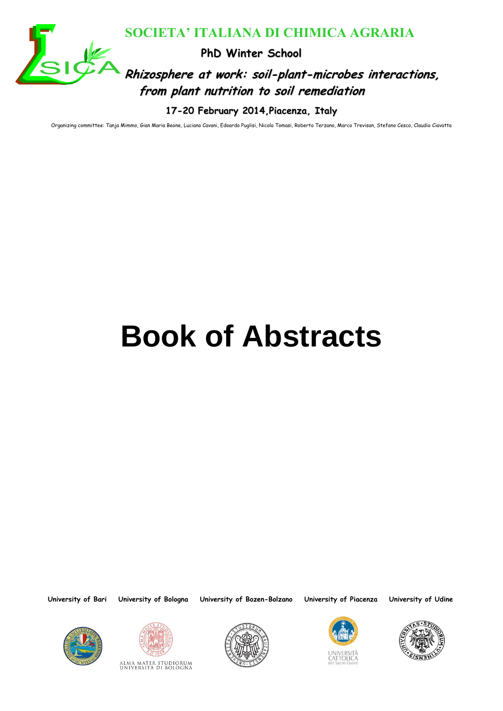

# **Rhizosphere at work: soil-plant-microbes interactions, from plant nutrition to soil remediation SOCIETA' ITALIANA DI CHIMICA AGRARIA**<br>
Philosophere at work: soil-plant-microbes interact<br>
from plant nutrition to soil remediation<br>
17-20 February 2014 Placenza, Italy<br> **BOOK Of Abstracts**

**17-20 February 2014,Piacenza, Italy**

Organizing committee: Tanja Mimmo, Gian Maria Beone, Luciano Cavani, Edoardo Puglisi, Nicola Tomasi, Roberto Terzano, Marco Trevisan, Stefano Cesco, Claudio Ciavatta

# **Book of Abstracts**









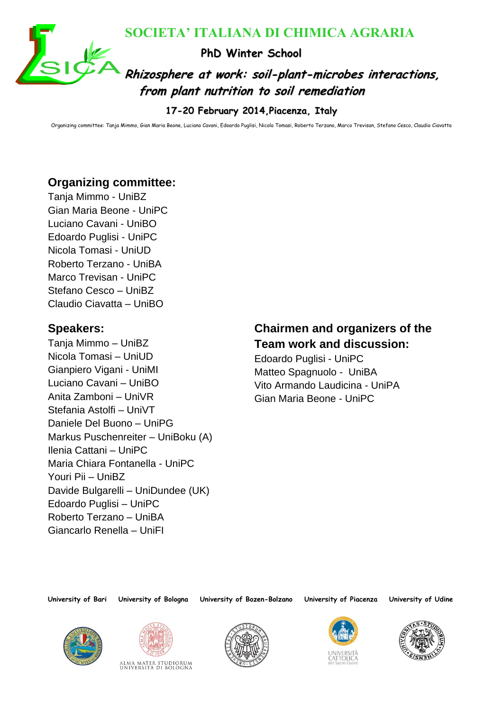

**Rhizosphere at work: soil-plant-microbes interactions, from plant nutrition to soil remediation**

**17-20 February 2014,Piacenza, Italy**

Organizing committee: Tanja Mimmo, Gian Maria Beone, Luciano Cavani, Edoardo Puglisi, Nicola Tomasi, Roberto Terzano, Marco Trevisan, Stefano Cesco, Claudio Ciavatta

# **Organizing committee:**

Tanja Mimmo - UniBZ Gian Maria Beone - UniPC Luciano Cavani - UniBO Edoardo Puglisi - UniPC Nicola Tomasi - UniUD Roberto Terzano - UniBA Marco Trevisan - UniPC Stefano Cesco – UniBZ Claudio Ciavatta – UniBO

# **Speakers:**

**EXAMPLE 11 AND CHIMICA AGRARIA**<br> **EXAMPLE THE VINTER School Winter School Winter School Test and African Prediction**<br> **T-20 February 2014 Placenza**, Thely<br> **Prediction**<br> **Prediction**<br> **Prediction**<br> **Prediction**<br> **Predicti** Tanja Mimmo – UniBZ Nicola Tomasi – UniUD Gianpiero Vigani - UniMI Luciano Cavani – UniBO Anita Zamboni – UniVR Stefania Astolfi – UniVT Daniele Del Buono – UniPG Markus Puschenreiter – UniBoku (A) Ilenia Cattani – UniPC Maria Chiara Fontanella - UniPC Youri Pii – UniBZ Davide Bulgarelli – UniDundee (UK) Edoardo Puglisi – UniPC Roberto Terzano – UniBA Giancarlo Renella – UniFI

# **Chairmen and organizers of the Team work and discussion:**

Edoardo Puglisi - UniPC Matteo Spagnuolo - UniBA Vito Armando Laudicina - UniPA Gian Maria Beone - UniPC











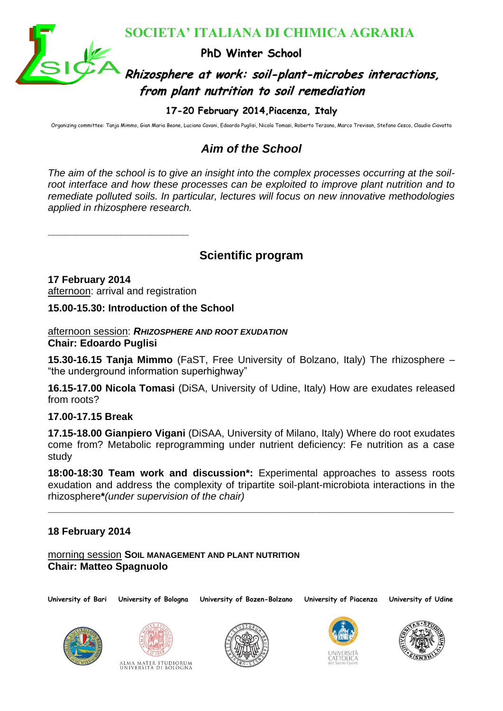

# **Rhizosphere at work: soil-plant-microbes interactions, from plant nutrition to soil remediation**

**17-20 February 2014,Piacenza, Italy**

Organizing committee: Tanja Mimmo, Gian Maria Beone, Luciano Cavani, Edoardo Puglisi, Nicola Tomasi, Roberto Terzano, Marco Trevisan, Stefano Cesco, Claudio Ciavatta

# *Aim of the School*

SOCIETA' ITALIANA DI CHIMICA AGRARIA<br> **Example and the School**<br> **Philosophere at work: soil-plant-microbes interact<br>
from plant nutrition to soil remediation<br>
17-20 February 2014 Placenza, Italy<br>
Altra of the School<br>
The a** *The aim of the school is to give an insight into the complex processes occurring at the soilroot interface and how these processes can be exploited to improve plant nutrition and to remediate polluted soils. In particular, lectures will focus on new innovative methodologies applied in rhizosphere research.*

**Scientific program**

**17 February 2014** afternoon: arrival and registration

**\_\_\_\_\_\_\_\_\_\_\_\_\_\_\_\_\_\_\_\_\_\_\_\_\_**

**15.00-15.30: Introduction of the School**

#### afternoon session: *RHIZOSPHERE AND ROOT EXUDATION* **Chair: Edoardo Puglisi**

**15.30-16.15 Tanja Mimmo** (FaST, Free University of Bolzano, Italy) The rhizosphere – "the underground information superhighway"

**16.15-17.00 Nicola Tomasi** (DiSA, University of Udine, Italy) How are exudates released from roots?

# **17.00-17.15 Break**

**17.15-18.00 Gianpiero Vigani** (DiSAA, University of Milano, Italy) Where do root exudates come from? Metabolic reprogramming under nutrient deficiency: Fe nutrition as a case study

**18:00-18:30 Team work and discussion\*:** Experimental approaches to assess roots exudation and address the complexity of tripartite soil-plant-microbiota interactions in the rhizosphere**\****(under supervision of the chair)*

**\_\_\_\_\_\_\_\_\_\_\_\_\_\_\_\_\_\_\_\_\_\_\_\_\_\_\_\_\_\_\_\_\_\_\_\_\_\_\_\_\_\_\_\_\_\_\_\_\_\_\_\_\_\_\_\_\_\_\_\_\_\_\_\_\_\_\_\_\_\_\_\_**

# **18 February 2014**

morning session **SOIL MANAGEMENT AND PLANT NUTRITION Chair: Matteo Spagnuolo**









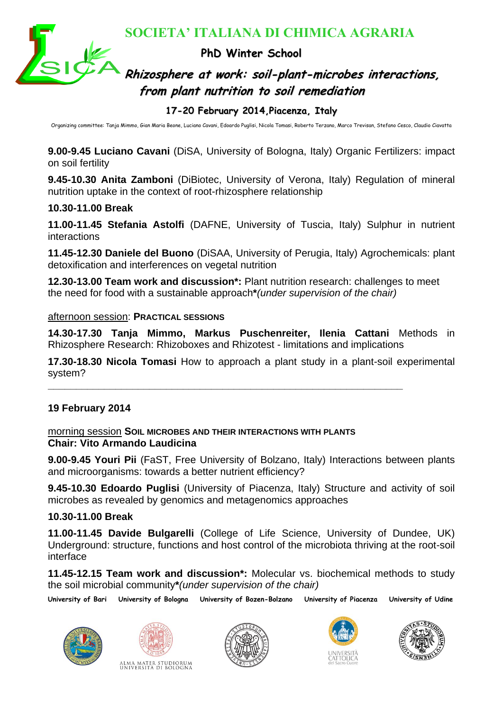

**Rhizosphere at work: soil-plant-microbes interactions, from plant nutrition to soil remediation**

#### **17-20 February 2014,Piacenza, Italy**

Organizing committee: Tanja Mimmo, Gian Maria Beone, Luciano Cavani, Edoardo Puglisi, Nicola Tomasi, Roberto Terzano, Marco Trevisan, Stefano Cesco, Claudio Ciavatta

**9.00-9.45 Luciano Cavani** (DiSA, University of Bologna, Italy) Organic Fertilizers: impact on soil fertility

**9.45-10.30 Anita Zamboni** (DiBiotec, University of Verona, Italy) Regulation of mineral nutrition uptake in the context of root-rhizosphere relationship

#### **10.30-11.00 Break**

**11.00-11.45 Stefania Astolfi** (DAFNE, University of Tuscia, Italy) Sulphur in nutrient interactions

**11.45-12.30 Daniele del Buono** (DiSAA, University of Perugia, Italy) Agrochemicals: plant detoxification and interferences on vegetal nutrition

**12.30-13.00 Team work and discussion\*:** Plant nutrition research: challenges to meet the need for food with a sustainable approach**\****(under supervision of the chair)*

#### afternoon session: **PRACTICAL SESSIONS**

**14.30-17.30 Tanja Mimmo, Markus Puschenreiter, Ilenia Cattani** Methods in Rhizosphere Research: Rhizoboxes and Rhizotest - limitations and implications

**17.30-18.30 Nicola Tomasi** How to approach a plant study in a plant-soil experimental system?

**\_\_\_\_\_\_\_\_\_\_\_\_\_\_\_\_\_\_\_\_\_\_\_\_\_\_\_\_\_\_\_\_\_\_\_\_\_\_\_\_\_\_\_\_\_\_\_\_\_\_\_\_\_\_\_\_\_\_\_\_\_\_\_**

#### **19 February 2014**

#### morning session **SOIL MICROBES AND THEIR INTERACTIONS WITH PLANTS Chair: Vito Armando Laudicina**

**9.00-9.45 Youri Pii** (FaST, Free University of Bolzano, Italy) Interactions between plants and microorganisms: towards a better nutrient efficiency?

**9.45-10.30 Edoardo Puglisi** (University of Piacenza, Italy) Structure and activity of soil microbes as revealed by genomics and metagenomics approaches

#### **10.30-11.00 Break**

SOCIETA<sup>3</sup> **ITALIANA DI CHIMICA AGRARIA**<br> **EN CHIMICA AGRARIA**<br> **EN CHIMICA AGRARIA**<br> **EN CHIMICA AGRARIA**<br> **EN CHIMICA AGRARIA**<br> **EN CHIMICAL AGRARIA ANOTE TO DENSE TRANSITY OF SOFT AND CONDITATIONS INTERNATIONAL TRANSITY 11.00-11.45 Davide Bulgarelli** (College of Life Science, University of Dundee, UK) Underground: structure, functions and host control of the microbiota thriving at the root-soil interface

**11.45-12.15 Team work and discussion\*:** Molecular vs. biochemical methods to study the soil microbial community**\****(under supervision of the chair)*









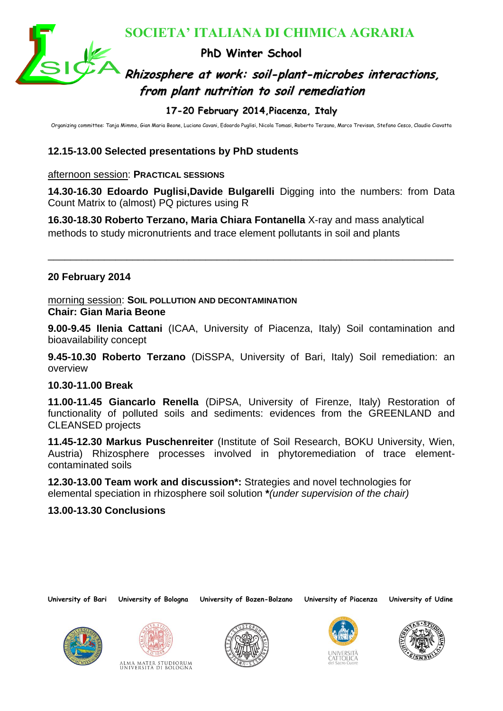

# **Rhizosphere at work: soil-plant-microbes interactions, from plant nutrition to soil remediation**

### **17-20 February 2014,Piacenza, Italy**

Organizing committee: Tanja Mimmo, Gian Maria Beone, Luciano Cavani, Edoardo Puglisi, Nicola Tomasi, Roberto Terzano, Marco Trevisan, Stefano Cesco, Claudio Ciavatta

# **12.15-13.00 Selected presentations by PhD students**

#### afternoon session: **PRACTICAL SESSIONS**

**14.30-16.30 Edoardo Puglisi,Davide Bulgarelli** Digging into the numbers: from Data Count Matrix to (almost) PQ pictures using R

\_\_\_\_\_\_\_\_\_\_\_\_\_\_\_\_\_\_\_\_\_\_\_\_\_\_\_\_\_\_\_\_\_\_\_\_\_\_\_\_\_\_\_\_\_\_\_\_\_\_\_\_\_\_\_\_\_\_\_\_\_\_\_\_\_\_\_\_\_\_\_\_

**16.30-18.30 Roberto Terzano, Maria Chiara Fontanella** X-ray and mass analytical methods to study micronutrients and trace element pollutants in soil and plants

#### **20 February 2014**

morning session: **SOIL POLLUTION AND DECONTAMINATION Chair: Gian Maria Beone**

**9.00-9.45 Ilenia Cattani** (ICAA, University of Piacenza, Italy) Soil contamination and bioavailability concept

**9.45-10.30 Roberto Terzano** (DiSSPA, University of Bari, Italy) Soil remediation: an overview

#### **10.30-11.00 Break**

**ESCRIPTA' ITALIANA DI CHIMICA AGRARIA**<br> **EN CHIMICA AGRARIA**<br> **EN CHIMICA AGRARIA**<br> **EN CHIMICA AGRARIA**<br> **EN CHIMICA AGRARIA**<br> **EN CHIMICA AGRARIA TRANSPARIE TO A POSSECT THE CONSULTING THE CONSULTING THE CONSULTING THE 11.00-11.45 Giancarlo Renella** (DiPSA, University of Firenze, Italy) Restoration of functionality of polluted soils and sediments: evidences from the GREENLAND and CLEANSED projects

**11.45-12.30 Markus Puschenreiter** (Institute of Soil Research, BOKU University, Wien, Austria) Rhizosphere processes involved in phytoremediation of trace elementcontaminated soils

**12.30-13.00 Team work and discussion\*:** Strategies and novel technologies for elemental speciation in rhizosphere soil solution **\****(under supervision of the chair)*

#### **13.00-13.30 Conclusions**









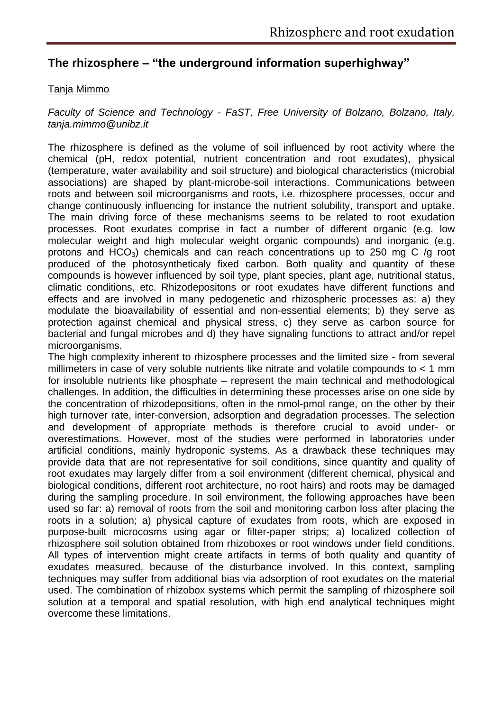# **The rhizosphere – "the underground information superhighway"**

#### Tanja Mimmo

#### *Faculty of Science and Technology - FaST, Free University of Bolzano, Bolzano, Italy, tanja.mimmo@unibz.it*

The rhizosphere is defined as the volume of soil influenced by root activity where the chemical (pH, redox potential, nutrient concentration and root exudates), physical (temperature, water availability and soil structure) and biological characteristics (microbial associations) are shaped by plant-microbe-soil interactions. Communications between roots and between soil microorganisms and roots, i.e. rhizosphere processes, occur and change continuously influencing for instance the nutrient solubility, transport and uptake. The main driving force of these mechanisms seems to be related to root exudation processes. Root exudates comprise in fact a number of different organic (e.g. low molecular weight and high molecular weight organic compounds) and inorganic (e.g. protons and HCO<sub>3</sub>) chemicals and can reach concentrations up to 250 mg C /g root produced of the photosyntheticaly fixed carbon. Both quality and quantity of these compounds is however influenced by soil type, plant species, plant age, nutritional status, climatic conditions, etc. Rhizodepositons or root exudates have different functions and effects and are involved in many pedogenetic and rhizospheric processes as: a) they modulate the bioavailability of essential and non-essential elements; b) they serve as protection against chemical and physical stress, c) they serve as carbon source for bacterial and fungal microbes and d) they have signaling functions to attract and/or repel microorganisms.

The high complexity inherent to rhizosphere processes and the limited size - from several millimeters in case of very soluble nutrients like nitrate and volatile compounds to < 1 mm for insoluble nutrients like phosphate – represent the main technical and methodological challenges. In addition, the difficulties in determining these processes arise on one side by the concentration of rhizodepositions, often in the nmol-pmol range, on the other by their high turnover rate, inter-conversion, adsorption and degradation processes. The selection and development of appropriate methods is therefore crucial to avoid under- or overestimations. However, most of the studies were performed in laboratories under artificial conditions, mainly hydroponic systems. As a drawback these techniques may provide data that are not representative for soil conditions, since quantity and quality of root exudates may largely differ from a soil environment (different chemical, physical and biological conditions, different root architecture, no root hairs) and roots may be damaged during the sampling procedure. In soil environment, the following approaches have been used so far: a) removal of roots from the soil and monitoring carbon loss after placing the roots in a solution; a) physical capture of exudates from roots, which are exposed in purpose-built microcosms using agar or filter-paper strips; a) localized collection of rhizosphere soil solution obtained from rhizoboxes or root windows under field conditions. All types of intervention might create artifacts in terms of both quality and quantity of exudates measured, because of the disturbance involved. In this context, sampling techniques may suffer from additional bias via adsorption of root exudates on the material used. The combination of rhizobox systems which permit the sampling of rhizosphere soil solution at a temporal and spatial resolution, with high end analytical techniques might overcome these limitations.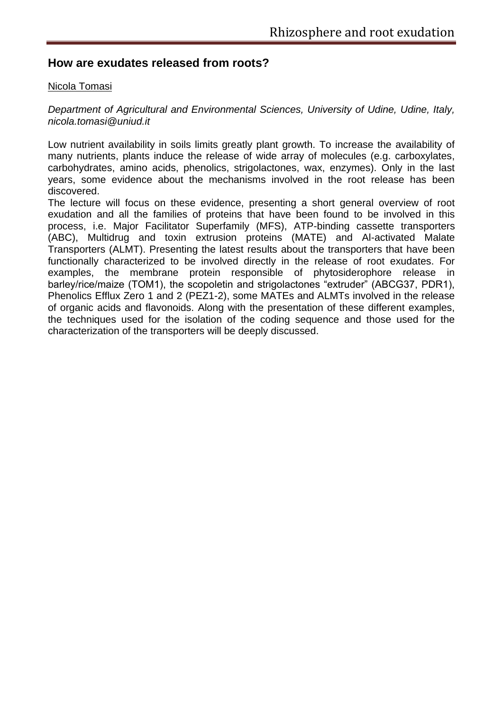#### **How are exudates released from roots?**

#### Nicola Tomasi

*Department of Agricultural and Environmental Sciences, University of Udine, Udine, Italy, nicola.tomasi@uniud.it*

Low nutrient availability in soils limits greatly plant growth. To increase the availability of many nutrients, plants induce the release of wide array of molecules (e.g. carboxylates, carbohydrates, amino acids, phenolics, strigolactones, wax, enzymes). Only in the last years, some evidence about the mechanisms involved in the root release has been discovered.

The lecture will focus on these evidence, presenting a short general overview of root exudation and all the families of proteins that have been found to be involved in this process, i.e. Major Facilitator Superfamily (MFS), ATP-binding cassette transporters (ABC), Multidrug and toxin extrusion proteins (MATE) and Al-activated Malate Transporters (ALMT). Presenting the latest results about the transporters that have been functionally characterized to be involved directly in the release of root exudates. For examples, the membrane protein responsible of phytosiderophore release in barley/rice/maize (TOM1), the scopoletin and strigolactones "extruder" (ABCG37, PDR1), Phenolics Efflux Zero 1 and 2 (PEZ1-2), some MATEs and ALMTs involved in the release of organic acids and flavonoids. Along with the presentation of these different examples, the techniques used for the isolation of the coding sequence and those used for the characterization of the transporters will be deeply discussed.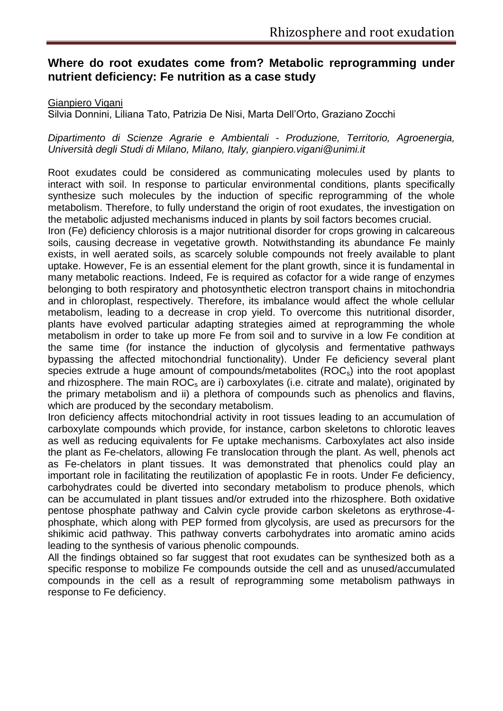# **Where do root exudates come from? Metabolic reprogramming under nutrient deficiency: Fe nutrition as a case study**

#### Gianpiero Vigani

Silvia Donnini, Liliana Tato, Patrizia De Nisi, Marta Dell'Orto, Graziano Zocchi

*Dipartimento di Scienze Agrarie e Ambientali - Produzione, Territorio, Agroenergia, Università degli Studi di Milano, Milano, Italy, gianpiero.vigani@unimi.it*

Root exudates could be considered as communicating molecules used by plants to interact with soil. In response to particular environmental conditions, plants specifically synthesize such molecules by the induction of specific reprogramming of the whole metabolism. Therefore, to fully understand the origin of root exudates, the investigation on the metabolic adjusted mechanisms induced in plants by soil factors becomes crucial.

Iron (Fe) deficiency chlorosis is a major nutritional disorder for crops growing in calcareous soils, causing decrease in vegetative growth. Notwithstanding its abundance Fe mainly exists, in well aerated soils, as scarcely soluble compounds not freely available to plant uptake. However, Fe is an essential element for the plant growth, since it is fundamental in many metabolic reactions. Indeed, Fe is required as cofactor for a wide range of enzymes belonging to both respiratory and photosynthetic electron transport chains in mitochondria and in chloroplast, respectively. Therefore, its imbalance would affect the whole cellular metabolism, leading to a decrease in crop yield. To overcome this nutritional disorder, plants have evolved particular adapting strategies aimed at reprogramming the whole metabolism in order to take up more Fe from soil and to survive in a low Fe condition at the same time (for instance the induction of glycolysis and fermentative pathways bypassing the affected mitochondrial functionality). Under Fe deficiency several plant species extrude a huge amount of compounds/metabolites (ROC<sub>s</sub>) into the root apoplast and rhizosphere. The main  $ROC<sub>s</sub>$  are i) carboxylates (i.e. citrate and malate), originated by the primary metabolism and ii) a plethora of compounds such as phenolics and flavins, which are produced by the secondary metabolism.

Iron deficiency affects mitochondrial activity in root tissues leading to an accumulation of carboxylate compounds which provide, for instance, carbon skeletons to chlorotic leaves as well as reducing equivalents for Fe uptake mechanisms. Carboxylates act also inside the plant as Fe-chelators, allowing Fe translocation through the plant. As well, phenols act as Fe-chelators in plant tissues. It was demonstrated that phenolics could play an important role in facilitating the reutilization of apoplastic Fe in roots. Under Fe deficiency, carbohydrates could be diverted into secondary metabolism to produce phenols, which can be accumulated in plant tissues and/or extruded into the rhizosphere. Both oxidative pentose phosphate pathway and Calvin cycle provide carbon skeletons as erythrose-4 phosphate, which along with PEP formed from glycolysis, are used as precursors for the shikimic acid pathway. This pathway converts carbohydrates into aromatic amino acids leading to the synthesis of various phenolic compounds.

All the findings obtained so far suggest that root exudates can be synthesized both as a specific response to mobilize Fe compounds outside the cell and as unused/accumulated compounds in the cell as a result of reprogramming some metabolism pathways in response to Fe deficiency.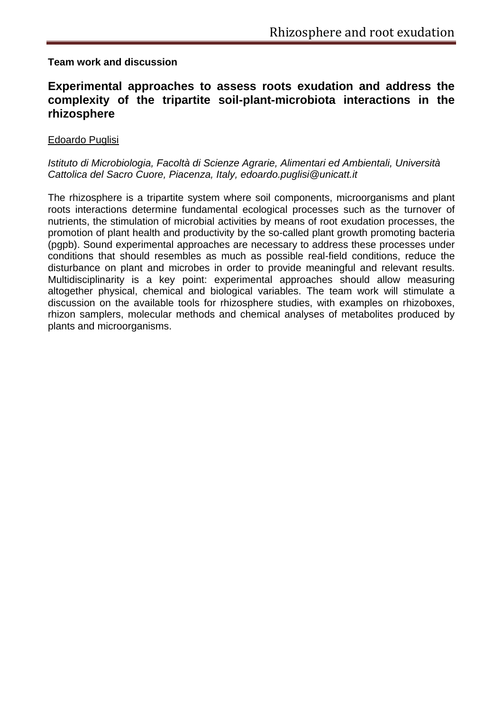#### **Team work and discussion**

# **Experimental approaches to assess roots exudation and address the complexity of the tripartite soil-plant-microbiota interactions in the rhizosphere**

#### Edoardo Puglisi

#### *Istituto di Microbiologia, Facoltà di Scienze Agrarie, Alimentari ed Ambientali, Università Cattolica del Sacro Cuore, Piacenza, Italy, edoardo.puglisi@unicatt.it*

The rhizosphere is a tripartite system where soil components, microorganisms and plant roots interactions determine fundamental ecological processes such as the turnover of nutrients, the stimulation of microbial activities by means of root exudation processes, the promotion of plant health and productivity by the so-called plant growth promoting bacteria (pgpb). Sound experimental approaches are necessary to address these processes under conditions that should resembles as much as possible real-field conditions, reduce the disturbance on plant and microbes in order to provide meaningful and relevant results. Multidisciplinarity is a key point: experimental approaches should allow measuring altogether physical, chemical and biological variables. The team work will stimulate a discussion on the available tools for rhizosphere studies, with examples on rhizoboxes, rhizon samplers, molecular methods and chemical analyses of metabolites produced by plants and microorganisms.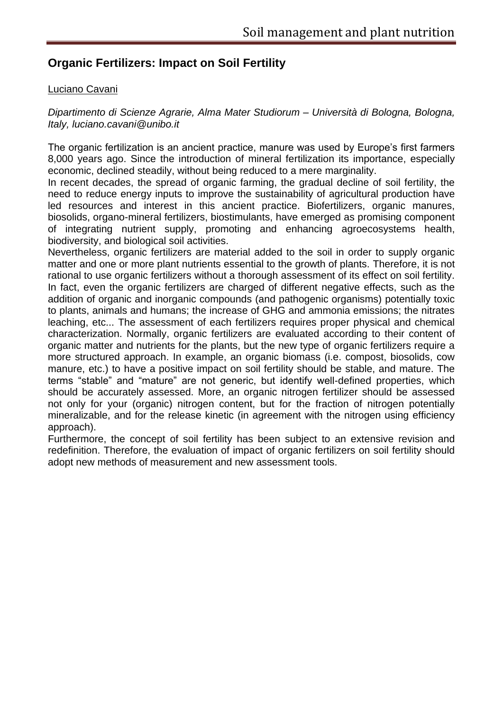# **Organic Fertilizers: Impact on Soil Fertility**

#### Luciano Cavani

*Dipartimento di Scienze Agrarie, Alma Mater Studiorum – Università di Bologna, Bologna, Italy, luciano.cavani@unibo.it*

The organic fertilization is an ancient practice, manure was used by Europe's first farmers 8,000 years ago. Since the introduction of mineral fertilization its importance, especially economic, declined steadily, without being reduced to a mere marginality.

In recent decades, the spread of organic farming, the gradual decline of soil fertility, the need to reduce energy inputs to improve the sustainability of agricultural production have led resources and interest in this ancient practice. Biofertilizers, organic manures, biosolids, organo-mineral fertilizers, biostimulants, have emerged as promising component of integrating nutrient supply, promoting and enhancing agroecosystems health, biodiversity, and biological soil activities.

Nevertheless, organic fertilizers are material added to the soil in order to supply organic matter and one or more plant nutrients essential to the growth of plants. Therefore, it is not rational to use organic fertilizers without a thorough assessment of its effect on soil fertility. In fact, even the organic fertilizers are charged of different negative effects, such as the addition of organic and inorganic compounds (and pathogenic organisms) potentially toxic to plants, animals and humans; the increase of GHG and ammonia emissions; the nitrates leaching, etc... The assessment of each fertilizers requires proper physical and chemical characterization. Normally, organic fertilizers are evaluated according to their content of organic matter and nutrients for the plants, but the new type of organic fertilizers require a more structured approach. In example, an organic biomass (i.e. compost, biosolids, cow manure, etc.) to have a positive impact on soil fertility should be stable, and mature. The terms "stable" and "mature" are not generic, but identify well-defined properties, which should be accurately assessed. More, an organic nitrogen fertilizer should be assessed not only for your (organic) nitrogen content, but for the fraction of nitrogen potentially mineralizable, and for the release kinetic (in agreement with the nitrogen using efficiency approach).

Furthermore, the concept of soil fertility has been subject to an extensive revision and redefinition. Therefore, the evaluation of impact of organic fertilizers on soil fertility should adopt new methods of measurement and new assessment tools.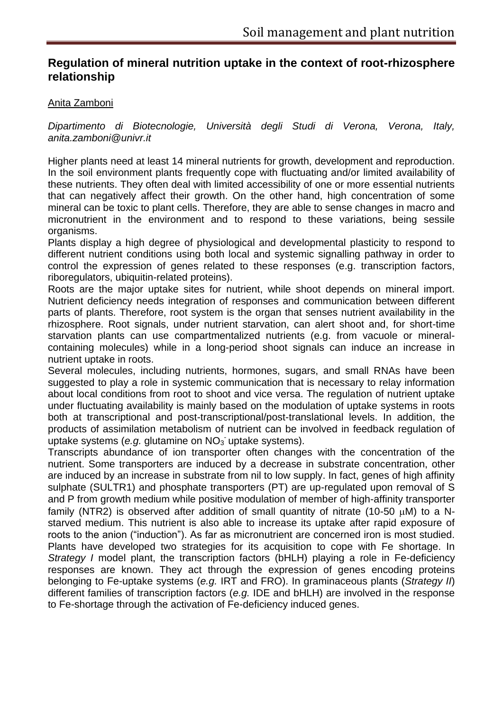# **Regulation of mineral nutrition uptake in the context of root-rhizosphere relationship**

#### Anita Zamboni

*Dipartimento di Biotecnologie, Università degli Studi di Verona, Verona, Italy, anita.zamboni@univr.it*

Higher plants need at least 14 mineral nutrients for growth, development and reproduction. In the soil environment plants frequently cope with fluctuating and/or limited availability of these nutrients. They often deal with limited accessibility of one or more essential nutrients that can negatively affect their growth. On the other hand, high concentration of some mineral can be toxic to plant cells. Therefore, they are able to sense changes in macro and micronutrient in the environment and to respond to these variations, being sessile organisms.

Plants display a high degree of physiological and developmental plasticity to respond to different nutrient conditions using both local and systemic signalling pathway in order to control the expression of genes related to these responses (e.g. transcription factors, riboregulators, ubiquitin-related proteins).

Roots are the major uptake sites for nutrient, while shoot depends on mineral import. Nutrient deficiency needs integration of responses and communication between different parts of plants. Therefore, root system is the organ that senses nutrient availability in the rhizosphere. Root signals, under nutrient starvation, can alert shoot and, for short-time starvation plants can use compartmentalized nutrients (e.g. from vacuole or mineralcontaining molecules) while in a long-period shoot signals can induce an increase in nutrient uptake in roots.

Several molecules, including nutrients, hormones, sugars, and small RNAs have been suggested to play a role in systemic communication that is necessary to relay information about local conditions from root to shoot and vice versa. The regulation of nutrient uptake under fluctuating availability is mainly based on the modulation of uptake systems in roots both at transcriptional and post-transcriptional/post-translational levels. In addition, the products of assimilation metabolism of nutrient can be involved in feedback regulation of .<br>uptake systems (e.g. glutamine on NO<sub>3</sub> uptake systems).

Transcripts abundance of ion transporter often changes with the concentration of the nutrient. Some transporters are induced by a decrease in substrate concentration, other are induced by an increase in substrate from nil to low supply. In fact, genes of high affinity sulphate (SULTR1) and phosphate transporters (PT) are up-regulated upon removal of S and P from growth medium while positive modulation of member of high-affinity transporter family (NTR2) is observed after addition of small quantity of nitrate (10-50  $\mu$ M) to a Nstarved medium. This nutrient is also able to increase its uptake after rapid exposure of roots to the anion ("induction"). As far as micronutrient are concerned iron is most studied. Plants have developed two strategies for its acquisition to cope with Fe shortage. In *Strategy I* model plant, the transcription factors (bHLH) playing a role in Fe-deficiency responses are known. They act through the expression of genes encoding proteins belonging to Fe-uptake systems (*e.g.* IRT and FRO). In graminaceous plants (*Strategy II*) different families of transcription factors (*e.g.* IDE and bHLH) are involved in the response to Fe-shortage through the activation of Fe-deficiency induced genes.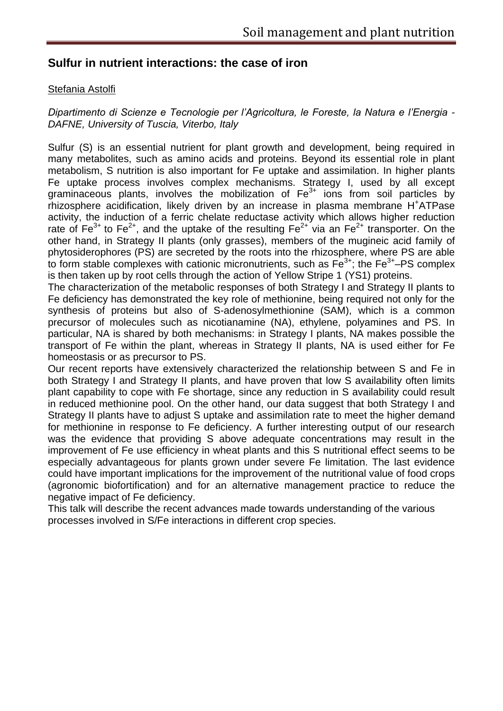# **Sulfur in nutrient interactions: the case of iron**

#### Stefania Astolfi

*Dipartimento di Scienze e Tecnologie per l'Agricoltura, le Foreste, la Natura e l'Energia - DAFNE, University of Tuscia, Viterbo, Italy*

Sulfur (S) is an essential nutrient for plant growth and development, being required in many metabolites, such as amino acids and proteins. Beyond its essential role in plant metabolism, S nutrition is also important for Fe uptake and assimilation. In higher plants Fe uptake process involves complex mechanisms. Strategy I, used by all except graminaceous plants, involves the mobilization of  $Fe<sup>3+</sup>$  ions from soil particles by rhizosphere acidification, likely driven by an increase in plasma membrane H<sup>+</sup>ATPase activity, the induction of a ferric chelate reductase activity which allows higher reduction rate of  $Fe^{3+}$  to  $Fe^{2+}$ , and the uptake of the resulting  $Fe^{2+}$  via an  $Fe^{2+}$  transporter. On the other hand, in Strategy II plants (only grasses), members of the mugineic acid family of phytosiderophores (PS) are secreted by the roots into the rhizosphere, where PS are able to form stable complexes with cationic micronutrients, such as  $Fe<sup>3+</sup>$ ; the  $Fe<sup>3+</sup>$ -PS complex is then taken up by root cells through the action of Yellow Stripe 1 (YS1) proteins.

The characterization of the metabolic responses of both Strategy I and Strategy II plants to Fe deficiency has demonstrated the key role of methionine, being required not only for the synthesis of proteins but also of S-adenosylmethionine (SAM), which is a common precursor of molecules such as nicotianamine (NA), ethylene, polyamines and PS. In particular, NA is shared by both mechanisms: in Strategy I plants, NA makes possible the transport of Fe within the plant, whereas in Strategy II plants, NA is used either for Fe homeostasis or as precursor to PS.

Our recent reports have extensively characterized the relationship between S and Fe in both Strategy I and Strategy II plants, and have proven that low S availability often limits plant capability to cope with Fe shortage, since any reduction in S availability could result in reduced methionine pool. On the other hand, our data suggest that both Strategy I and Strategy II plants have to adjust S uptake and assimilation rate to meet the higher demand for methionine in response to Fe deficiency. A further interesting output of our research was the evidence that providing S above adequate concentrations may result in the improvement of Fe use efficiency in wheat plants and this S nutritional effect seems to be especially advantageous for plants grown under severe Fe limitation. The last evidence could have important implications for the improvement of the nutritional value of food crops (agronomic biofortification) and for an alternative management practice to reduce the negative impact of Fe deficiency.

This talk will describe the recent advances made towards understanding of the various processes involved in S/Fe interactions in different crop species.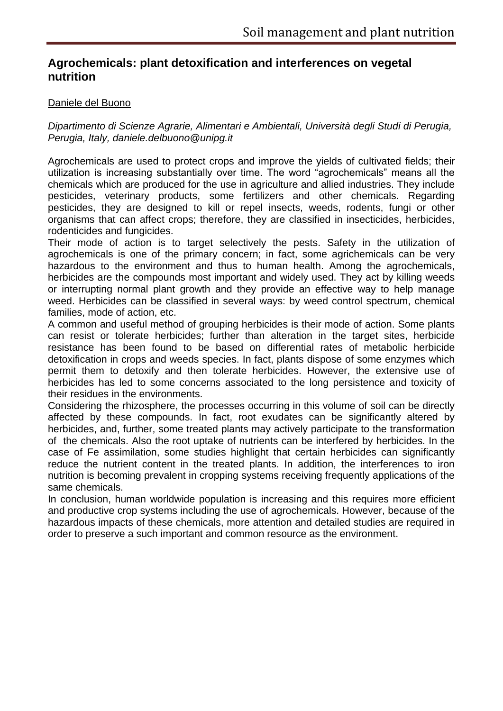# **Agrochemicals: plant detoxification and interferences on vegetal nutrition**

#### Daniele del Buono

*Dipartimento di Scienze Agrarie, Alimentari e Ambientali, Università degli Studi di Perugia, Perugia, Italy, daniele.delbuono@unipg.it*

Agrochemicals are used to protect crops and improve the yields of cultivated fields; their utilization is increasing substantially over time. The word "agrochemicals" means all the chemicals which are produced for the use in agriculture and allied industries. They include pesticides, veterinary products, some fertilizers and other chemicals. Regarding pesticides, they are designed to kill or repel insects, weeds, rodents, fungi or other organisms that can affect crops; therefore, they are classified in insecticides, herbicides, rodenticides and fungicides.

Their mode of action is to target selectively the pests. Safety in the utilization of agrochemicals is one of the primary concern; in fact, some agrichemicals can be very hazardous to the environment and thus to human health. Among the agrochemicals, herbicides are the compounds most important and widely used. They act by killing weeds or interrupting normal plant growth and they provide an effective way to help manage weed. Herbicides can be classified in several ways: by weed control spectrum, chemical families, mode of action, etc.

A common and useful method of grouping herbicides is their mode of action. Some plants can resist or tolerate herbicides; further than alteration in the target sites, herbicide resistance has been found to be based on differential rates of metabolic herbicide detoxification in crops and weeds species. In fact, plants dispose of some enzymes which permit them to detoxify and then tolerate herbicides. However, the extensive use of herbicides has led to some concerns associated to the long persistence and toxicity of their residues in the environments.

Considering the rhizosphere, the processes occurring in this volume of soil can be directly affected by these compounds. In fact, root exudates can be significantly altered by herbicides, and, further, some treated plants may actively participate to the transformation of the chemicals. Also the root uptake of nutrients can be interfered by herbicides. In the case of Fe assimilation, some studies highlight that certain herbicides can significantly reduce the nutrient content in the treated plants. In addition, the interferences to iron nutrition is becoming prevalent in cropping systems receiving frequently applications of the same chemicals.

In conclusion, human worldwide population is increasing and this requires more efficient and productive crop systems including the use of agrochemicals. However, because of the hazardous impacts of these chemicals, more attention and detailed studies are required in order to preserve a such important and common resource as the environment.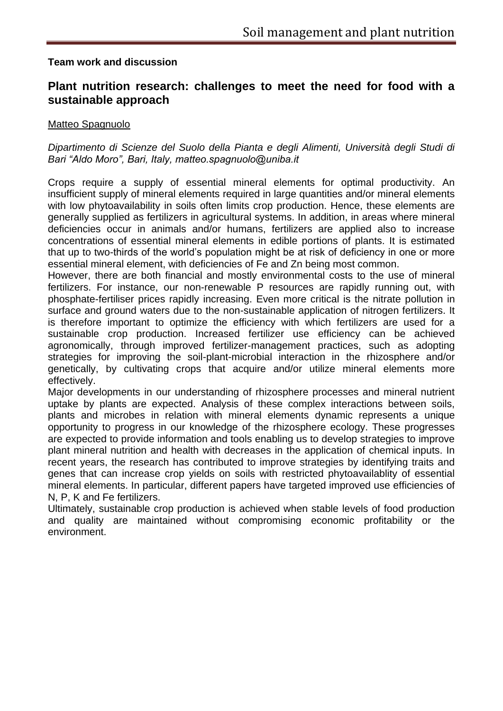#### **Team work and discussion**

# **Plant nutrition research: challenges to meet the need for food with a sustainable approach**

#### Matteo Spagnuolo

#### *Dipartimento di Scienze del Suolo della Pianta e degli Alimenti, Università degli Studi di Bari "Aldo Moro", Bari, Italy, matteo.spagnuolo@uniba.it*

Crops require a supply of essential mineral elements for optimal productivity. An insufficient supply of mineral elements required in large quantities and/or mineral elements with low phytoavailability in soils often limits crop production. Hence, these elements are generally supplied as fertilizers in agricultural systems. In addition, in areas where mineral deficiencies occur in animals and/or humans, fertilizers are applied also to increase concentrations of essential mineral elements in edible portions of plants. It is estimated that up to two-thirds of the world's population might be at risk of deficiency in one or more essential mineral element, with deficiencies of Fe and Zn being most common.

However, there are both financial and mostly environmental costs to the use of mineral fertilizers. For instance, our non-renewable P resources are rapidly running out, with phosphate-fertiliser prices rapidly increasing. Even more critical is the nitrate pollution in surface and ground waters due to the non-sustainable application of nitrogen fertilizers. It is therefore important to optimize the efficiency with which fertilizers are used for a sustainable crop production. Increased fertilizer use efficiency can be achieved agronomically, through improved fertilizer-management practices, such as adopting strategies for improving the soil-plant-microbial interaction in the rhizosphere and/or genetically, by cultivating crops that acquire and/or utilize mineral elements more effectively.

Major developments in our understanding of rhizosphere processes and mineral nutrient uptake by plants are expected. Analysis of these complex interactions between soils, plants and microbes in relation with mineral elements dynamic represents a unique opportunity to progress in our knowledge of the rhizosphere ecology. These progresses are expected to provide information and tools enabling us to develop strategies to improve plant mineral nutrition and health with decreases in the application of chemical inputs. In recent years, the research has contributed to improve strategies by identifying traits and genes that can increase crop yields on soils with restricted phytoavailablity of essential mineral elements. In particular, different papers have targeted improved use efficiencies of N, P, K and Fe fertilizers.

Ultimately, sustainable crop production is achieved when stable levels of food production and quality are maintained without compromising economic profitability or the environment.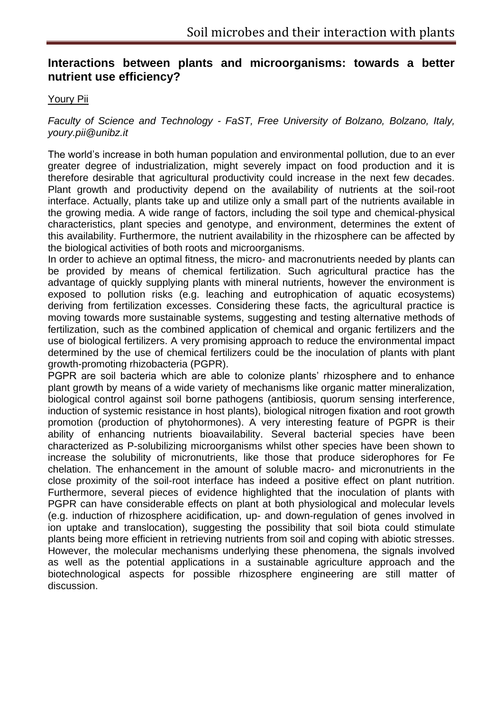# **Interactions between plants and microorganisms: towards a better nutrient use efficiency?**

#### Youry Pii

*Faculty of Science and Technology - FaST, Free University of Bolzano, Bolzano, Italy, youry.pii@unibz.it*

The world's increase in both human population and environmental pollution, due to an ever greater degree of industrialization, might severely impact on food production and it is therefore desirable that agricultural productivity could increase in the next few decades. Plant growth and productivity depend on the availability of nutrients at the soil-root interface. Actually, plants take up and utilize only a small part of the nutrients available in the growing media. A wide range of factors, including the soil type and chemical-physical characteristics, plant species and genotype, and environment, determines the extent of this availability. Furthermore, the nutrient availability in the rhizosphere can be affected by the biological activities of both roots and microorganisms.

In order to achieve an optimal fitness, the micro- and macronutrients needed by plants can be provided by means of chemical fertilization. Such agricultural practice has the advantage of quickly supplying plants with mineral nutrients, however the environment is exposed to pollution risks (e.g. leaching and eutrophication of aquatic ecosystems) deriving from fertilization excesses. Considering these facts, the agricultural practice is moving towards more sustainable systems, suggesting and testing alternative methods of fertilization, such as the combined application of chemical and organic fertilizers and the use of biological fertilizers. A very promising approach to reduce the environmental impact determined by the use of chemical fertilizers could be the inoculation of plants with plant growth-promoting rhizobacteria (PGPR).

PGPR are soil bacteria which are able to colonize plants' rhizosphere and to enhance plant growth by means of a wide variety of mechanisms like organic matter mineralization, biological control against soil borne pathogens (antibiosis, quorum sensing interference, induction of systemic resistance in host plants), biological nitrogen fixation and root growth promotion (production of phytohormones). A very interesting feature of PGPR is their ability of enhancing nutrients bioavailability. Several bacterial species have been characterized as P-solubilizing microorganisms whilst other species have been shown to increase the solubility of micronutrients, like those that produce siderophores for Fe chelation. The enhancement in the amount of soluble macro- and micronutrients in the close proximity of the soil-root interface has indeed a positive effect on plant nutrition. Furthermore, several pieces of evidence highlighted that the inoculation of plants with PGPR can have considerable effects on plant at both physiological and molecular levels (e.g. induction of rhizosphere acidification, up- and down-regulation of genes involved in ion uptake and translocation), suggesting the possibility that soil biota could stimulate plants being more efficient in retrieving nutrients from soil and coping with abiotic stresses. However, the molecular mechanisms underlying these phenomena, the signals involved as well as the potential applications in a sustainable agriculture approach and the biotechnological aspects for possible rhizosphere engineering are still matter of discussion.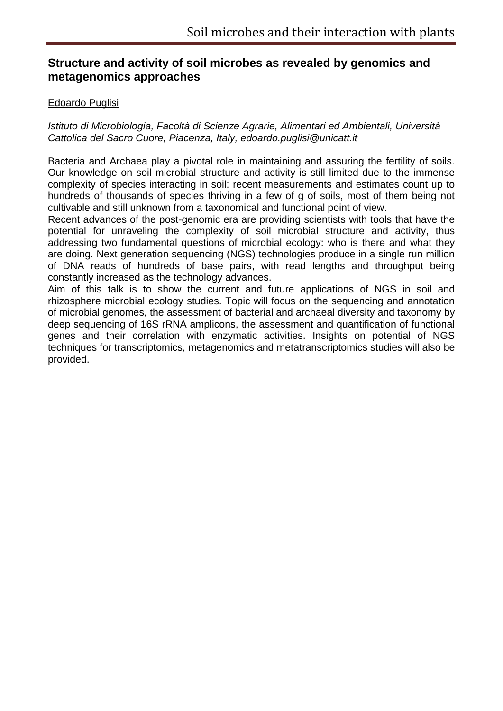# **Structure and activity of soil microbes as revealed by genomics and metagenomics approaches**

#### Edoardo Puglisi

*Istituto di Microbiologia, Facoltà di Scienze Agrarie, Alimentari ed Ambientali, Università Cattolica del Sacro Cuore, Piacenza, Italy, edoardo.puglisi@unicatt.it*

Bacteria and Archaea play a pivotal role in maintaining and assuring the fertility of soils. Our knowledge on soil microbial structure and activity is still limited due to the immense complexity of species interacting in soil: recent measurements and estimates count up to hundreds of thousands of species thriving in a few of g of soils, most of them being not cultivable and still unknown from a taxonomical and functional point of view.

Recent advances of the post-genomic era are providing scientists with tools that have the potential for unraveling the complexity of soil microbial structure and activity, thus addressing two fundamental questions of microbial ecology: who is there and what they are doing. Next generation sequencing (NGS) technologies produce in a single run million of DNA reads of hundreds of base pairs, with read lengths and throughput being constantly increased as the technology advances.

Aim of this talk is to show the current and future applications of NGS in soil and rhizosphere microbial ecology studies. Topic will focus on the sequencing and annotation of microbial genomes, the assessment of bacterial and archaeal diversity and taxonomy by deep sequencing of 16S rRNA amplicons, the assessment and quantification of functional genes and their correlation with enzymatic activities. Insights on potential of NGS techniques for transcriptomics, metagenomics and metatranscriptomics studies will also be provided.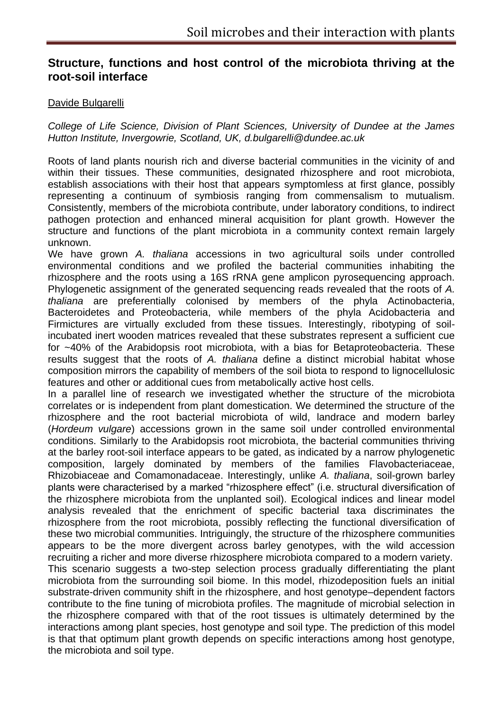# **Structure, functions and host control of the microbiota thriving at the root-soil interface**

#### Davide Bulgarelli

*College of Life Science, Division of Plant Sciences, University of Dundee at the James Hutton Institute, Invergowrie, Scotland, UK, d.bulgarelli@dundee.ac.uk*

Roots of land plants nourish rich and diverse bacterial communities in the vicinity of and within their tissues. These communities, designated rhizosphere and root microbiota, establish associations with their host that appears symptomless at first glance, possibly representing a continuum of symbiosis ranging from commensalism to mutualism. Consistently, members of the microbiota contribute, under laboratory conditions, to indirect pathogen protection and enhanced mineral acquisition for plant growth. However the structure and functions of the plant microbiota in a community context remain largely unknown.

We have grown *A. thaliana* accessions in two agricultural soils under controlled environmental conditions and we profiled the bacterial communities inhabiting the rhizosphere and the roots using a 16S rRNA gene amplicon pyrosequencing approach. Phylogenetic assignment of the generated sequencing reads revealed that the roots of *A. thaliana* are preferentially colonised by members of the phyla Actinobacteria, Bacteroidetes and Proteobacteria, while members of the phyla Acidobacteria and Firmictures are virtually excluded from these tissues. Interestingly, ribotyping of soilincubated inert wooden matrices revealed that these substrates represent a sufficient cue for ~40% of the Arabidopsis root microbiota, with a bias for Betaproteobacteria. These results suggest that the roots of *A. thaliana* define a distinct microbial habitat whose composition mirrors the capability of members of the soil biota to respond to lignocellulosic features and other or additional cues from metabolically active host cells.

In a parallel line of research we investigated whether the structure of the microbiota correlates or is independent from plant domestication. We determined the structure of the rhizosphere and the root bacterial microbiota of wild, landrace and modern barley (*Hordeum vulgare*) accessions grown in the same soil under controlled environmental conditions. Similarly to the Arabidopsis root microbiota, the bacterial communities thriving at the barley root-soil interface appears to be gated, as indicated by a narrow phylogenetic composition, largely dominated by members of the families Flavobacteriaceae, Rhizobiaceae and Comamonadaceae. Interestingly, unlike *A. thaliana*, soil-grown barley plants were characterised by a marked "rhizosphere effect" (i.e. structural diversification of the rhizosphere microbiota from the unplanted soil). Ecological indices and linear model analysis revealed that the enrichment of specific bacterial taxa discriminates the rhizosphere from the root microbiota, possibly reflecting the functional diversification of these two microbial communities. Intriguingly, the structure of the rhizosphere communities appears to be the more divergent across barley genotypes, with the wild accession recruiting a richer and more diverse rhizosphere microbiota compared to a modern variety. This scenario suggests a two-step selection process gradually differentiating the plant microbiota from the surrounding soil biome. In this model, rhizodeposition fuels an initial substrate-driven community shift in the rhizosphere, and host genotype–dependent factors contribute to the fine tuning of microbiota profiles. The magnitude of microbial selection in the rhizosphere compared with that of the root tissues is ultimately determined by the interactions among plant species, host genotype and soil type. The prediction of this model is that that optimum plant growth depends on specific interactions among host genotype, the microbiota and soil type.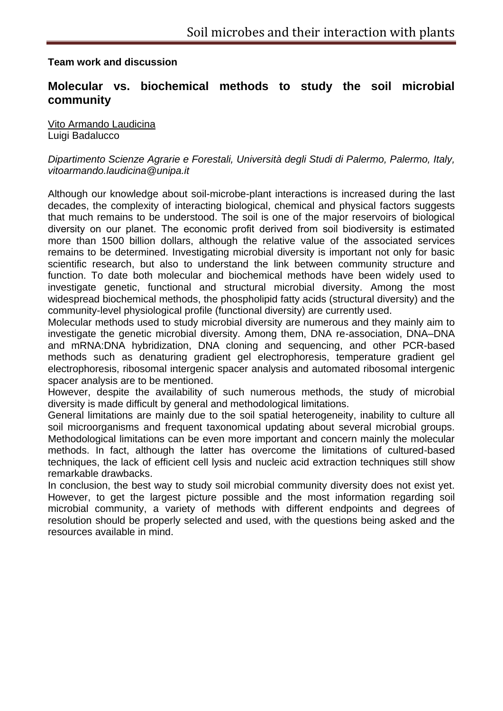#### **Team work and discussion**

# **Molecular vs. biochemical methods to study the soil microbial community**

Vito Armando Laudicina Luigi Badalucco

#### *Dipartimento Scienze Agrarie e Forestali, Università degli Studi di Palermo, Palermo, Italy, vitoarmando.laudicina@unipa.it*

Although our knowledge about soil-microbe-plant interactions is increased during the last decades, the complexity of interacting biological, chemical and physical factors suggests that much remains to be understood. The soil is one of the major reservoirs of biological diversity on our planet. The economic profit derived from soil biodiversity is estimated more than 1500 billion dollars, although the relative value of the associated services remains to be determined. Investigating microbial diversity is important not only for basic scientific research, but also to understand the link between community structure and function. To date both molecular and biochemical methods have been widely used to investigate genetic, functional and structural microbial diversity. Among the most widespread biochemical methods, the phospholipid fatty acids (structural diversity) and the community-level physiological profile (functional diversity) are currently used.

Molecular methods used to study microbial diversity are numerous and they mainly aim to investigate the genetic microbial diversity. Among them, DNA re-association, DNA–DNA and mRNA:DNA hybridization, DNA cloning and sequencing, and other PCR-based methods such as denaturing gradient gel electrophoresis, temperature gradient gel electrophoresis, ribosomal intergenic spacer analysis and automated ribosomal intergenic spacer analysis are to be mentioned.

However, despite the availability of such numerous methods, the study of microbial diversity is made difficult by general and methodological limitations.

General limitations are mainly due to the soil spatial heterogeneity, inability to culture all soil microorganisms and frequent taxonomical updating about several microbial groups. Methodological limitations can be even more important and concern mainly the molecular methods. In fact, although the latter has overcome the limitations of cultured-based techniques, the lack of efficient cell lysis and nucleic acid extraction techniques still show remarkable drawbacks.

In conclusion, the best way to study soil microbial community diversity does not exist yet. However, to get the largest picture possible and the most information regarding soil microbial community, a variety of methods with different endpoints and degrees of resolution should be properly selected and used, with the questions being asked and the resources available in mind.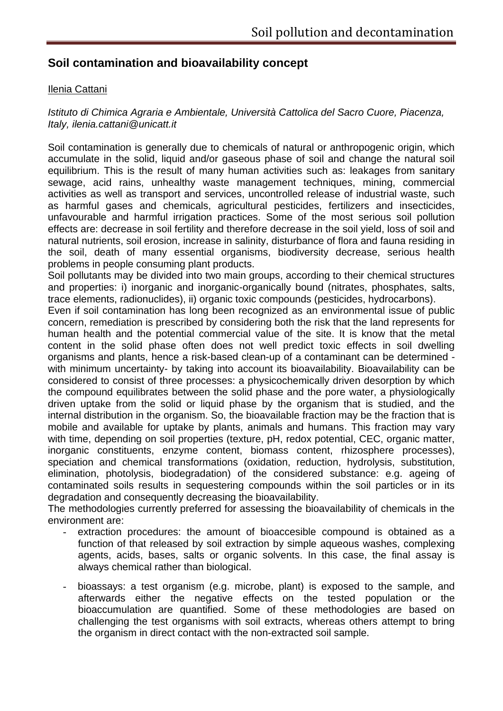# **Soil contamination and bioavailability concept**

#### Ilenia Cattani

#### *Istituto di Chimica Agraria e Ambientale, Università Cattolica del Sacro Cuore, Piacenza, Italy, ilenia.cattani@unicatt.it*

Soil contamination is generally due to chemicals of natural or anthropogenic origin, which accumulate in the solid, liquid and/or gaseous phase of soil and change the natural soil equilibrium. This is the result of many human activities such as: leakages from sanitary sewage, acid rains, unhealthy waste management techniques, mining, commercial activities as well as transport and services, uncontrolled release of industrial waste, such as harmful gases and chemicals, agricultural pesticides, fertilizers and insecticides, unfavourable and harmful irrigation practices. Some of the most serious soil pollution effects are: decrease in soil fertility and therefore decrease in the soil yield, loss of soil and natural nutrients, soil erosion, increase in salinity, disturbance of flora and fauna residing in the soil, death of many essential organisms, biodiversity decrease, serious health problems in people consuming plant products.

Soil pollutants may be divided into two main groups, according to their chemical structures and properties: i) inorganic and inorganic-organically bound (nitrates, phosphates, salts, trace elements, radionuclides), ii) organic toxic compounds (pesticides, hydrocarbons).

Even if soil contamination has long been recognized as an environmental issue of public concern, remediation is prescribed by considering both the risk that the land represents for human health and the potential commercial value of the site. It is know that the metal content in the solid phase often does not well predict toxic effects in soil dwelling organisms and plants, hence a risk-based clean-up of a contaminant can be determined with minimum uncertainty- by taking into account its bioavailability. Bioavailability can be considered to consist of three processes: a physicochemically driven desorption by which the compound equilibrates between the solid phase and the pore water, a physiologically driven uptake from the solid or liquid phase by the organism that is studied, and the internal distribution in the organism. So, the bioavailable fraction may be the fraction that is mobile and available for uptake by plants, animals and humans. This fraction may vary with time, depending on soil properties (texture, pH, redox potential, CEC, organic matter, inorganic constituents, enzyme content, biomass content, rhizosphere processes), speciation and chemical transformations (oxidation, reduction, hydrolysis, substitution, elimination, photolysis, biodegradation) of the considered substance: e.g. ageing of contaminated soils results in sequestering compounds within the soil particles or in its degradation and consequently decreasing the bioavailability.

The methodologies currently preferred for assessing the bioavailability of chemicals in the environment are:

- extraction procedures: the amount of bioaccesible compound is obtained as a function of that released by soil extraction by simple aqueous washes, complexing agents, acids, bases, salts or organic solvents. In this case, the final assay is always chemical rather than biological.
- bioassays: a test organism (e.g. microbe, plant) is exposed to the sample, and afterwards either the negative effects on the tested population or the bioaccumulation are quantified. Some of these methodologies are based on challenging the test organisms with soil extracts, whereas others attempt to bring the organism in direct contact with the non-extracted soil sample.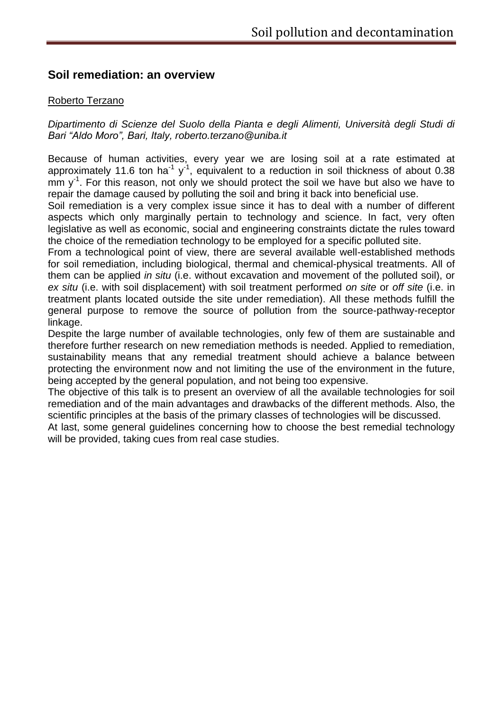# **Soil remediation: an overview**

#### Roberto Terzano

*Dipartimento di Scienze del Suolo della Pianta e degli Alimenti, Università degli Studi di Bari "Aldo Moro", Bari, Italy, roberto.terzano@uniba.it*

Because of human activities, every year we are losing soil at a rate estimated at approximately 11.6 ton ha<sup>-1</sup> y<sup>-1</sup>, equivalent to a reduction in soil thickness of about 0.38 mm  $y<sup>-1</sup>$ . For this reason, not only we should protect the soil we have but also we have to repair the damage caused by polluting the soil and bring it back into beneficial use.

Soil remediation is a very complex issue since it has to deal with a number of different aspects which only marginally pertain to technology and science. In fact, very often legislative as well as economic, social and engineering constraints dictate the rules toward the choice of the remediation technology to be employed for a specific polluted site.

From a technological point of view, there are several available well-established methods for soil remediation, including biological, thermal and chemical-physical treatments. All of them can be applied *in situ* (i.e. without excavation and movement of the polluted soil), or *ex situ* (i.e. with soil displacement) with soil treatment performed *on site* or *off site* (i.e. in treatment plants located outside the site under remediation). All these methods fulfill the general purpose to remove the source of pollution from the source-pathway-receptor linkage.

Despite the large number of available technologies, only few of them are sustainable and therefore further research on new remediation methods is needed. Applied to remediation, sustainability means that any remedial treatment should achieve a balance between protecting the environment now and not limiting the use of the environment in the future, being accepted by the general population, and not being too expensive.

The objective of this talk is to present an overview of all the available technologies for soil remediation and of the main advantages and drawbacks of the different methods. Also, the scientific principles at the basis of the primary classes of technologies will be discussed.

At last, some general guidelines concerning how to choose the best remedial technology will be provided, taking cues from real case studies.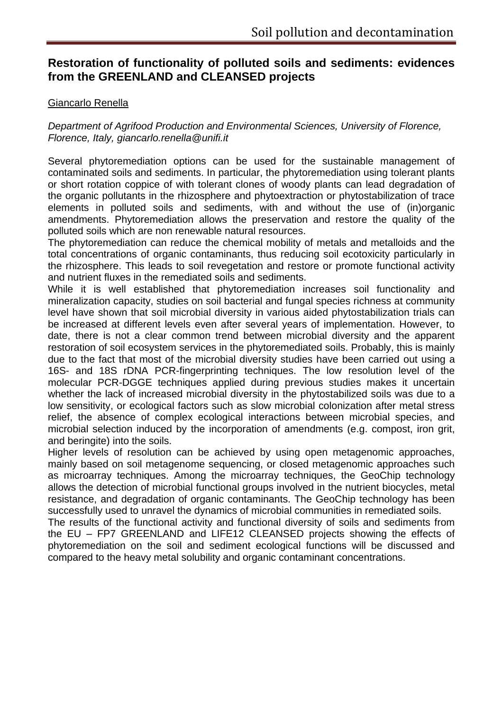# **Restoration of functionality of polluted soils and sediments: evidences from the GREENLAND and CLEANSED projects**

#### Giancarlo Renella

*Department of Agrifood Production and Environmental Sciences, University of Florence, Florence, Italy, giancarlo.renella@unifi.it*

Several phytoremediation options can be used for the sustainable management of contaminated soils and sediments. In particular, the phytoremediation using tolerant plants or short rotation coppice of with tolerant clones of woody plants can lead degradation of the organic pollutants in the rhizosphere and phytoextraction or phytostabilization of trace elements in polluted soils and sediments, with and without the use of (in)organic amendments. Phytoremediation allows the preservation and restore the quality of the polluted soils which are non renewable natural resources.

The phytoremediation can reduce the chemical mobility of metals and metalloids and the total concentrations of organic contaminants, thus reducing soil ecotoxicity particularly in the rhizosphere. This leads to soil revegetation and restore or promote functional activity and nutrient fluxes in the remediated soils and sediments.

While it is well established that phytoremediation increases soil functionality and mineralization capacity, studies on soil bacterial and fungal species richness at community level have shown that soil microbial diversity in various aided phytostabilization trials can be increased at different levels even after several years of implementation. However, to date, there is not a clear common trend between microbial diversity and the apparent restoration of soil ecosystem services in the phytoremediated soils. Probably, this is mainly due to the fact that most of the microbial diversity studies have been carried out using a 16S- and 18S rDNA PCR-fingerprinting techniques. The low resolution level of the molecular PCR-DGGE techniques applied during previous studies makes it uncertain whether the lack of increased microbial diversity in the phytostabilized soils was due to a low sensitivity, or ecological factors such as slow microbial colonization after metal stress relief, the absence of complex ecological interactions between microbial species, and microbial selection induced by the incorporation of amendments (e.g. compost, iron grit, and beringite) into the soils.

Higher levels of resolution can be achieved by using open metagenomic approaches, mainly based on soil metagenome sequencing, or closed metagenomic approaches such as microarray techniques. Among the microarray techniques, the GeoChip technology allows the detection of microbial functional groups involved in the nutrient biocycles, metal resistance, and degradation of organic contaminants. The GeoChip technology has been successfully used to unravel the dynamics of microbial communities in remediated soils.

The results of the functional activity and functional diversity of soils and sediments from the EU – FP7 GREENLAND and LIFE12 CLEANSED projects showing the effects of phytoremediation on the soil and sediment ecological functions will be discussed and compared to the heavy metal solubility and organic contaminant concentrations.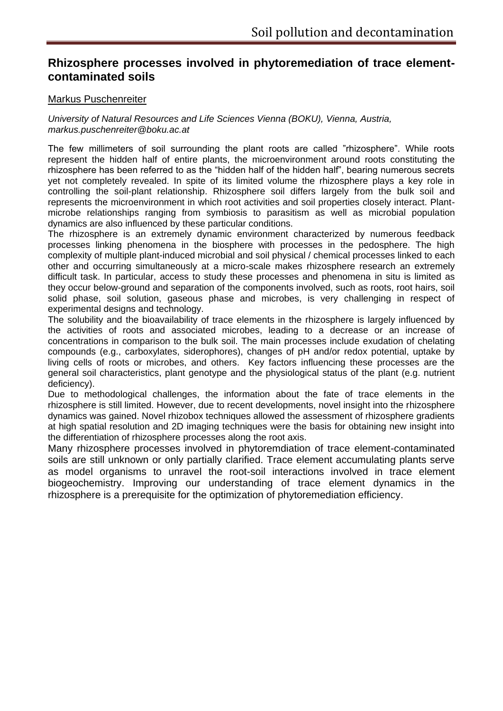# **Rhizosphere processes involved in phytoremediation of trace elementcontaminated soils**

#### Markus Puschenreiter

*University of Natural Resources and Life Sciences Vienna (BOKU), Vienna, Austria, markus.puschenreiter@boku.ac.at*

The few millimeters of soil surrounding the plant roots are called "rhizosphere". While roots represent the hidden half of entire plants, the microenvironment around roots constituting the rhizosphere has been referred to as the "hidden half of the hidden half", bearing numerous secrets yet not completely revealed. In spite of its limited volume the rhizosphere plays a key role in controlling the soil-plant relationship. Rhizosphere soil differs largely from the bulk soil and represents the microenvironment in which root activities and soil properties closely interact. Plantmicrobe relationships ranging from symbiosis to parasitism as well as microbial population dynamics are also influenced by these particular conditions.

The rhizosphere is an extremely dynamic environment characterized by numerous feedback processes linking phenomena in the biosphere with processes in the pedosphere. The high complexity of multiple plant-induced microbial and soil physical / chemical processes linked to each other and occurring simultaneously at a micro-scale makes rhizosphere research an extremely difficult task. In particular, access to study these processes and phenomena in situ is limited as they occur below-ground and separation of the components involved, such as roots, root hairs, soil solid phase, soil solution, gaseous phase and microbes, is very challenging in respect of experimental designs and technology.

The solubility and the bioavailability of trace elements in the rhizosphere is largely influenced by the activities of roots and associated microbes, leading to a decrease or an increase of concentrations in comparison to the bulk soil. The main processes include exudation of chelating compounds (e.g., carboxylates, siderophores), changes of pH and/or redox potential, uptake by living cells of roots or microbes, and others. Key factors influencing these processes are the general soil characteristics, plant genotype and the physiological status of the plant (e.g. nutrient deficiency).

Due to methodological challenges, the information about the fate of trace elements in the rhizosphere is still limited. However, due to recent developments, novel insight into the rhizosphere dynamics was gained. Novel rhizobox techniques allowed the assessment of rhizosphere gradients at high spatial resolution and 2D imaging techniques were the basis for obtaining new insight into the differentiation of rhizosphere processes along the root axis.

Many rhizosphere processes involved in phytoremdiation of trace element-contaminated soils are still unknown or only partially clarified. Trace element accumulating plants serve as model organisms to unravel the root-soil interactions involved in trace element biogeochemistry. Improving our understanding of trace element dynamics in the rhizosphere is a prerequisite for the optimization of phytoremediation efficiency.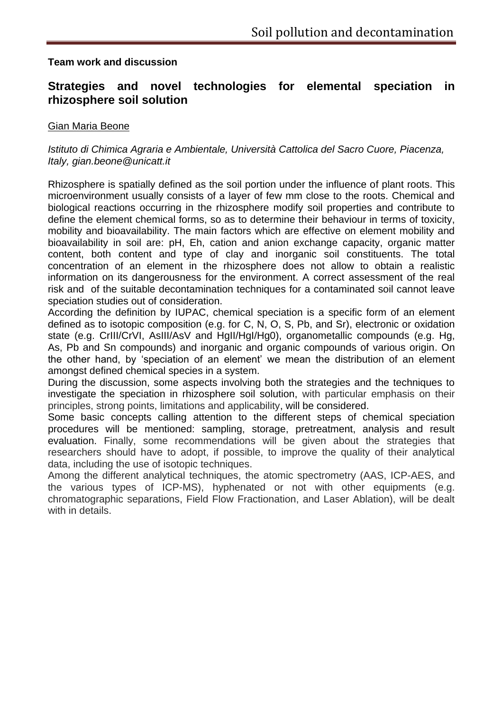#### **Team work and discussion**

# **Strategies and novel technologies for elemental speciation in rhizosphere soil solution**

#### Gian Maria Beone

#### *Istituto di Chimica Agraria e Ambientale, Università Cattolica del Sacro Cuore, Piacenza, Italy, gian.beone@unicatt.it*

Rhizosphere is spatially defined as the soil portion under the influence of plant roots. This microenvironment usually consists of a layer of few mm close to the roots. Chemical and biological reactions occurring in the rhizosphere modify soil properties and contribute to define the element chemical forms, so as to determine their behaviour in terms of toxicity, mobility and bioavailability. The main factors which are effective on element mobility and bioavailability in soil are: pH, Eh, cation and anion exchange capacity, organic matter content, both content and type of clay and inorganic soil constituents. The total concentration of an element in the rhizosphere does not allow to obtain a realistic information on its dangerousness for the environment. A correct assessment of the real risk and of the suitable decontamination techniques for a contaminated soil cannot leave speciation studies out of consideration.

According the definition by IUPAC, chemical speciation is a specific form of an element defined as to isotopic composition (e.g. for C, N, O, S, Pb, and Sr), electronic or oxidation state (e.g. CrIII/CrVI, AsIII/AsV and HgII/HgI/Hg0), organometallic compounds (e.g. Hg, As, Pb and Sn compounds) and inorganic and organic compounds of various origin. On the other hand, by 'speciation of an element' we mean the distribution of an element amongst defined chemical species in a system.

During the discussion, some aspects involving both the strategies and the techniques to investigate the speciation in rhizosphere soil solution, with particular emphasis on their principles, strong points, limitations and applicability, will be considered.

Some basic concepts calling attention to the different steps of chemical speciation procedures will be mentioned: sampling, storage, pretreatment, analysis and result evaluation. Finally, some recommendations will be given about the strategies that researchers should have to adopt, if possible, to improve the quality of their analytical data, including the use of isotopic techniques.

Among the different analytical techniques, the atomic spectrometry (AAS, ICP-AES, and the various types of ICP-MS), hyphenated or not with other equipments (e.g. chromatographic separations, Field Flow Fractionation, and Laser Ablation), will be dealt with in details.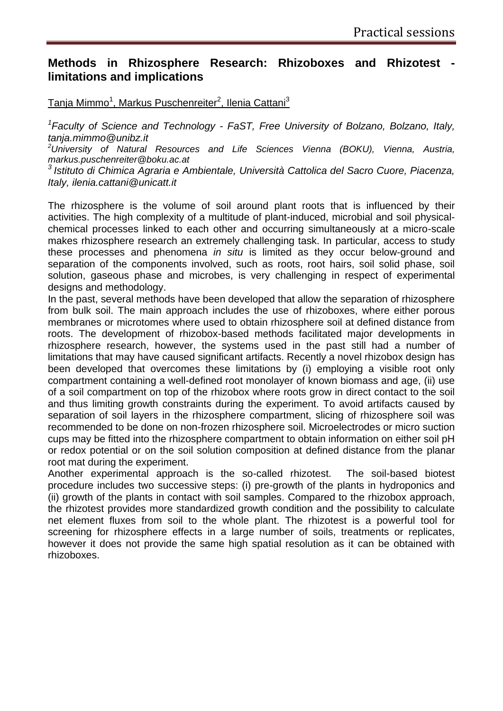# **Methods in Rhizosphere Research: Rhizoboxes and Rhizotest limitations and implications**

Tanja Mimmo<sup>1</sup>, Markus Puschenreiter<sup>2</sup>, Ilenia Cattani<sup>3</sup>

*1 Faculty of Science and Technology - FaST, Free University of Bolzano, Bolzano, Italy, tanja.mimmo@unibz.it*

*<sup>2</sup>University of Natural Resources and Life Sciences Vienna (BOKU), Vienna, Austria, markus.puschenreiter@boku.ac.at*

*3 Istituto di Chimica Agraria e Ambientale, Università Cattolica del Sacro Cuore, Piacenza, Italy, ilenia.cattani@unicatt.it*

The rhizosphere is the volume of soil around plant roots that is influenced by their activities. The high complexity of a multitude of plant-induced, microbial and soil physicalchemical processes linked to each other and occurring simultaneously at a micro-scale makes rhizosphere research an extremely challenging task. In particular, access to study these processes and phenomena *in situ* is limited as they occur below-ground and separation of the components involved, such as roots, root hairs, soil solid phase, soil solution, gaseous phase and microbes, is very challenging in respect of experimental designs and methodology.

In the past, several methods have been developed that allow the separation of rhizosphere from bulk soil. The main approach includes the use of rhizoboxes, where either porous membranes or microtomes where used to obtain rhizosphere soil at defined distance from roots. The development of rhizobox-based methods facilitated major developments in rhizosphere research, however, the systems used in the past still had a number of limitations that may have caused significant artifacts. Recently a novel rhizobox design has been developed that overcomes these limitations by (i) employing a visible root only compartment containing a well-defined root monolayer of known biomass and age, (ii) use of a soil compartment on top of the rhizobox where roots grow in direct contact to the soil and thus limiting growth constraints during the experiment. To avoid artifacts caused by separation of soil layers in the rhizosphere compartment, slicing of rhizosphere soil was recommended to be done on non-frozen rhizosphere soil. Microelectrodes or micro suction cups may be fitted into the rhizosphere compartment to obtain information on either soil pH or redox potential or on the soil solution composition at defined distance from the planar root mat during the experiment.

Another experimental approach is the so-called rhizotest. The soil-based biotest procedure includes two successive steps: (i) pre-growth of the plants in hydroponics and (ii) growth of the plants in contact with soil samples. Compared to the rhizobox approach, the rhizotest provides more standardized growth condition and the possibility to calculate net element fluxes from soil to the whole plant. The rhizotest is a powerful tool for screening for rhizosphere effects in a large number of soils, treatments or replicates, however it does not provide the same high spatial resolution as it can be obtained with rhizoboxes.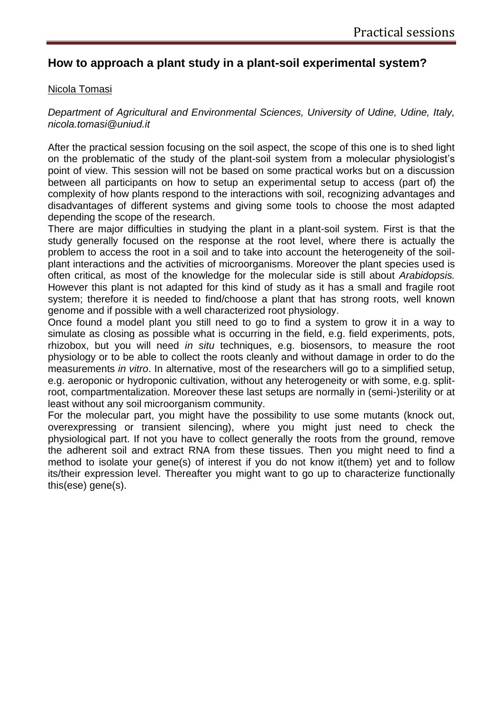# **How to approach a plant study in a plant-soil experimental system?**

#### Nicola Tomasi

*Department of Agricultural and Environmental Sciences, University of Udine, Udine, Italy, nicola.tomasi@uniud.it*

After the practical session focusing on the soil aspect, the scope of this one is to shed light on the problematic of the study of the plant-soil system from a molecular physiologist's point of view. This session will not be based on some practical works but on a discussion between all participants on how to setup an experimental setup to access (part of) the complexity of how plants respond to the interactions with soil, recognizing advantages and disadvantages of different systems and giving some tools to choose the most adapted depending the scope of the research.

There are major difficulties in studying the plant in a plant-soil system. First is that the study generally focused on the response at the root level, where there is actually the problem to access the root in a soil and to take into account the heterogeneity of the soilplant interactions and the activities of microorganisms. Moreover the plant species used is often critical, as most of the knowledge for the molecular side is still about *Arabidopsis.* However this plant is not adapted for this kind of study as it has a small and fragile root system; therefore it is needed to find/choose a plant that has strong roots, well known genome and if possible with a well characterized root physiology.

Once found a model plant you still need to go to find a system to grow it in a way to simulate as closing as possible what is occurring in the field, e.g. field experiments, pots, rhizobox, but you will need *in situ* techniques, e.g. biosensors, to measure the root physiology or to be able to collect the roots cleanly and without damage in order to do the measurements *in vitro*. In alternative, most of the researchers will go to a simplified setup, e.g. aeroponic or hydroponic cultivation, without any heterogeneity or with some, e.g. splitroot, compartmentalization. Moreover these last setups are normally in (semi-)sterility or at least without any soil microorganism community.

For the molecular part, you might have the possibility to use some mutants (knock out, overexpressing or transient silencing), where you might just need to check the physiological part. If not you have to collect generally the roots from the ground, remove the adherent soil and extract RNA from these tissues. Then you might need to find a method to isolate your gene(s) of interest if you do not know it(them) yet and to follow its/their expression level. Thereafter you might want to go up to characterize functionally this(ese) gene(s).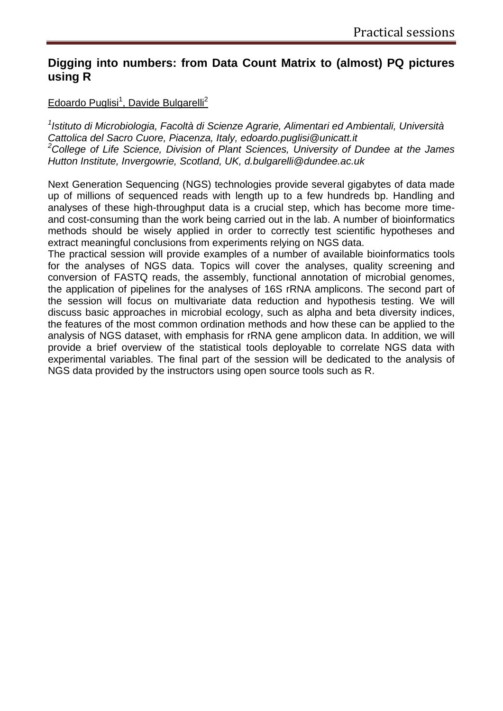# **Digging into numbers: from Data Count Matrix to (almost) PQ pictures using R**

Edoardo Puglisi<sup>1</sup>, Davide Bulgarelli<sup>2</sup>

*1 Istituto di Microbiologia, Facoltà di Scienze Agrarie, Alimentari ed Ambientali, Università Cattolica del Sacro Cuore, Piacenza, Italy, edoardo.puglisi@unicatt.it <sup>2</sup>College of Life Science, Division of Plant Sciences, University of Dundee at the James Hutton Institute, Invergowrie, Scotland, UK, d.bulgarelli@dundee.ac.uk*

Next Generation Sequencing (NGS) technologies provide several gigabytes of data made up of millions of sequenced reads with length up to a few hundreds bp. Handling and analyses of these high-throughput data is a crucial step, which has become more timeand cost-consuming than the work being carried out in the lab. A number of bioinformatics methods should be wisely applied in order to correctly test scientific hypotheses and extract meaningful conclusions from experiments relying on NGS data.

The practical session will provide examples of a number of available bioinformatics tools for the analyses of NGS data. Topics will cover the analyses, quality screening and conversion of FASTQ reads, the assembly, functional annotation of microbial genomes, the application of pipelines for the analyses of 16S rRNA amplicons. The second part of the session will focus on multivariate data reduction and hypothesis testing. We will discuss basic approaches in microbial ecology, such as alpha and beta diversity indices, the features of the most common ordination methods and how these can be applied to the analysis of NGS dataset, with emphasis for rRNA gene amplicon data. In addition, we will provide a brief overview of the statistical tools deployable to correlate NGS data with experimental variables. The final part of the session will be dedicated to the analysis of NGS data provided by the instructors using open source tools such as R.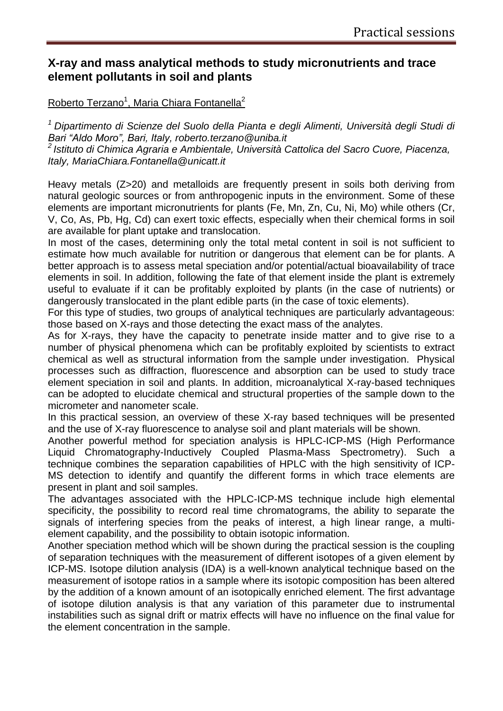# **X-ray and mass analytical methods to study micronutrients and trace element pollutants in soil and plants**

# Roberto Terzano<sup>1</sup>, Maria Chiara Fontanella<sup>2</sup>

*<sup>1</sup>Dipartimento di Scienze del Suolo della Pianta e degli Alimenti, Università degli Studi di Bari "Aldo Moro", Bari, Italy, roberto.terzano@uniba.it*

*<sup>2</sup>Istituto di Chimica Agraria e Ambientale, Università Cattolica del Sacro Cuore, Piacenza, Italy, MariaChiara.Fontanella@unicatt.it*

Heavy metals (Z>20) and metalloids are frequently present in soils both deriving from natural geologic sources or from anthropogenic inputs in the environment. Some of these elements are important micronutrients for plants (Fe, Mn, Zn, Cu, Ni, Mo) while others (Cr, V, Co, As, Pb, Hg, Cd) can exert toxic effects, especially when their chemical forms in soil are available for plant uptake and translocation.

In most of the cases, determining only the total metal content in soil is not sufficient to estimate how much available for nutrition or dangerous that element can be for plants. A better approach is to assess metal speciation and/or potential/actual bioavailability of trace elements in soil. In addition, following the fate of that element inside the plant is extremely useful to evaluate if it can be profitably exploited by plants (in the case of nutrients) or dangerously translocated in the plant edible parts (in the case of toxic elements).

For this type of studies, two groups of analytical techniques are particularly advantageous: those based on X-rays and those detecting the exact mass of the analytes.

As for X-rays, they have the capacity to penetrate inside matter and to give rise to a number of physical phenomena which can be profitably exploited by scientists to extract chemical as well as structural information from the sample under investigation. Physical processes such as diffraction, fluorescence and absorption can be used to study trace element speciation in soil and plants. In addition, microanalytical X-ray-based techniques can be adopted to elucidate chemical and structural properties of the sample down to the micrometer and nanometer scale.

In this practical session, an overview of these X-ray based techniques will be presented and the use of X-ray fluorescence to analyse soil and plant materials will be shown.

Another powerful method for speciation analysis is HPLC-ICP-MS (High Performance Liquid Chromatography-Inductively Coupled Plasma-Mass Spectrometry). Such a technique combines the separation capabilities of HPLC with the high sensitivity of ICP-MS detection to identify and quantify the different forms in which trace elements are present in plant and soil samples.

The advantages associated with the HPLC-ICP-MS technique include high elemental specificity, the possibility to record real time chromatograms, the ability to separate the signals of interfering species from the peaks of interest, a high linear range, a multielement capability, and the possibility to obtain isotopic information.

Another speciation method which will be shown during the practical session is the coupling of separation techniques with the measurement of different isotopes of a given element by ICP-MS. Isotope dilution analysis (IDA) is a well-known analytical technique based on the measurement of isotope ratios in a sample where its isotopic composition has been altered by the addition of a known amount of an isotopically enriched element. The first advantage of isotope dilution analysis is that any variation of this parameter due to instrumental instabilities such as signal drift or matrix effects will have no influence on the final value for the element concentration in the sample.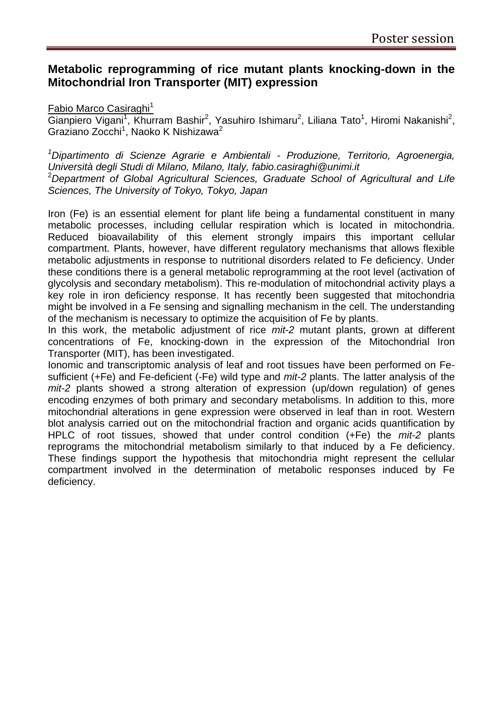# **Metabolic reprogramming of rice mutant plants knocking-down in the Mitochondrial Iron Transporter (MIT) expression**

#### Fabio Marco Casiraghi<sup>1</sup>

Gianpiero Vigani<sup>1</sup>, Khurram Bashir<sup>2</sup>, Yasuhiro Ishimaru<sup>2</sup>, Liliana Tato<sup>1</sup>, Hiromi Nakanishi<sup>2</sup>, Graziano Zocchi<sup>1</sup>, Naoko K Nishizawa<sup>2</sup>

*<sup>1</sup>Dipartimento di Scienze Agrarie e Ambientali - Produzione, Territorio, Agroenergia, Università degli Studi di Milano, Milano, Italy, fabio.casiraghi@unimi.it* <sup>2</sup>*Department of Global Agricultural Sciences, Graduate School of Agricultural and Life Sciences, The University of Tokyo, Tokyo, Japan* 

Iron (Fe) is an essential element for plant life being a fundamental constituent in many metabolic processes, including cellular respiration which is located in mitochondria. Reduced bioavailability of this element strongly impairs this important cellular compartment. Plants, however, have different regulatory mechanisms that allows flexible metabolic adjustments in response to nutritional disorders related to Fe deficiency. Under these conditions there is a general metabolic reprogramming at the root level (activation of glycolysis and secondary metabolism). This re-modulation of mitochondrial activity plays a key role in iron deficiency response. It has recently been suggested that mitochondria might be involved in a Fe sensing and signalling mechanism in the cell. The understanding of the mechanism is necessary to optimize the acquisition of Fe by plants.

In this work, the metabolic adjustment of rice *mit-2* mutant plants, grown at different concentrations of Fe, knocking-down in the expression of the Mitochondrial Iron Transporter (MIT), has been investigated.

Ionomic and transcriptomic analysis of leaf and root tissues have been performed on Fesufficient (+Fe) and Fe-deficient (-Fe) wild type and *mit-2* plants. The latter analysis of the *mit-2* plants showed a strong alteration of expression (up/down regulation) of genes encoding enzymes of both primary and secondary metabolisms. In addition to this, more mitochondrial alterations in gene expression were observed in leaf than in root. Western blot analysis carried out on the mitochondrial fraction and organic acids quantification by HPLC of root tissues, showed that under control condition (+Fe) the *mit-2* plants reprograms the mitochondrial metabolism similarly to that induced by a Fe deficiency. These findings support the hypothesis that mitochondria might represent the cellular compartment involved in the determination of metabolic responses induced by Fe deficiency.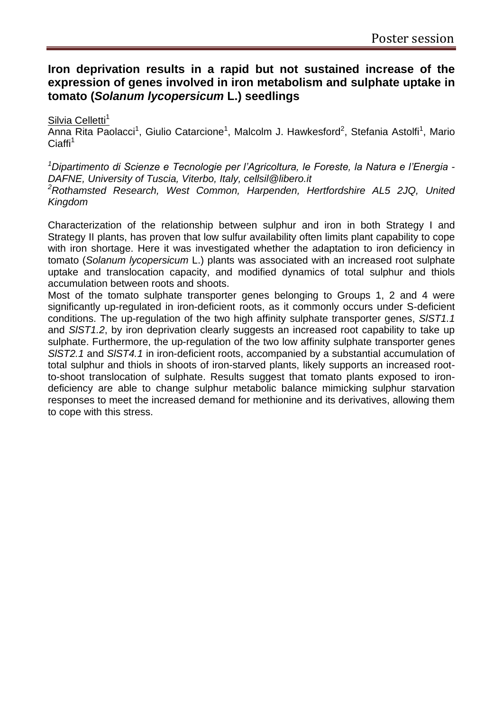# **Iron deprivation results in a rapid but not sustained increase of the expression of genes involved in iron metabolism and sulphate uptake in tomato (***Solanum lycopersicum* **L.) seedlings**

Silvia Celletti<sup>1</sup>

Anna Rita Paolacci<sup>1</sup>, Giulio Catarcione<sup>1</sup>, Malcolm J. Hawkesford<sup>2</sup>, Stefania Astolfi<sup>1</sup>, Mario  $Ciaffi<sup>1</sup>$ 

*<sup>1</sup>Dipartimento di Scienze e Tecnologie per l'Agricoltura, le Foreste, la Natura e l'Energia - DAFNE, University of Tuscia, Viterbo, Italy, cellsil@libero.it <sup>2</sup>Rothamsted Research, West Common, Harpenden, Hertfordshire AL5 2JQ, United Kingdom* 

Characterization of the relationship between sulphur and iron in both Strategy I and Strategy II plants, has proven that low sulfur availability often limits plant capability to cope with iron shortage. Here it was investigated whether the adaptation to iron deficiency in tomato (*Solanum lycopersicum* L.) plants was associated with an increased root sulphate uptake and translocation capacity, and modified dynamics of total sulphur and thiols accumulation between roots and shoots.

Most of the tomato sulphate transporter genes belonging to Groups 1, 2 and 4 were significantly up-regulated in iron-deficient roots, as it commonly occurs under S-deficient conditions. The up-regulation of the two high affinity sulphate transporter genes, *SlST1.1* and *SlST1.2*, by iron deprivation clearly suggests an increased root capability to take up sulphate. Furthermore, the up-regulation of the two low affinity sulphate transporter genes *SlST2.1* and *SlST4.1* in iron-deficient roots, accompanied by a substantial accumulation of total sulphur and thiols in shoots of iron-starved plants, likely supports an increased rootto-shoot translocation of sulphate. Results suggest that tomato plants exposed to irondeficiency are able to change sulphur metabolic balance mimicking sulphur starvation responses to meet the increased demand for methionine and its derivatives, allowing them to cope with this stress.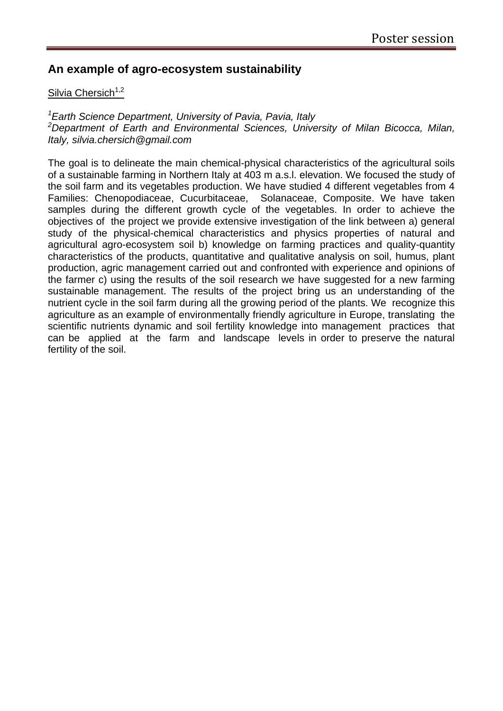# **An example of agro-ecosystem sustainability**

#### Silvia Chersich $1,2$

*<sup>1</sup>Earth Science Department, University of Pavia, Pavia, Italy <sup>2</sup>Department of Earth and Environmental Sciences, University of Milan Bicocca, Milan, Italy, silvia.chersich@gmail.com*

The goal is to delineate the main chemical-physical characteristics of the agricultural soils of a sustainable farming in Northern Italy at 403 m a.s.l. elevation. We focused the study of the soil farm and its vegetables production. We have studied 4 different vegetables from 4 Families: Chenopodiaceae, Cucurbitaceae, Solanaceae, Composite. We have taken samples during the different growth cycle of the vegetables. In order to achieve the objectives of the project we provide extensive investigation of the link between a) general study of the physical-chemical characteristics and physics properties of natural and agricultural agro-ecosystem soil b) knowledge on farming practices and quality-quantity characteristics of the products, quantitative and qualitative analysis on soil, humus, plant production, agric management carried out and confronted with experience and opinions of the farmer c) using the results of the soil research we have suggested for a new farming sustainable management. The results of the project bring us an understanding of the nutrient cycle in the soil farm during all the growing period of the plants. We recognize this agriculture as an example of environmentally friendly agriculture in Europe, translating the scientific nutrients dynamic and soil fertility knowledge into management practices that can be applied at the farm and landscape levels in order to preserve the natural fertility of the soil.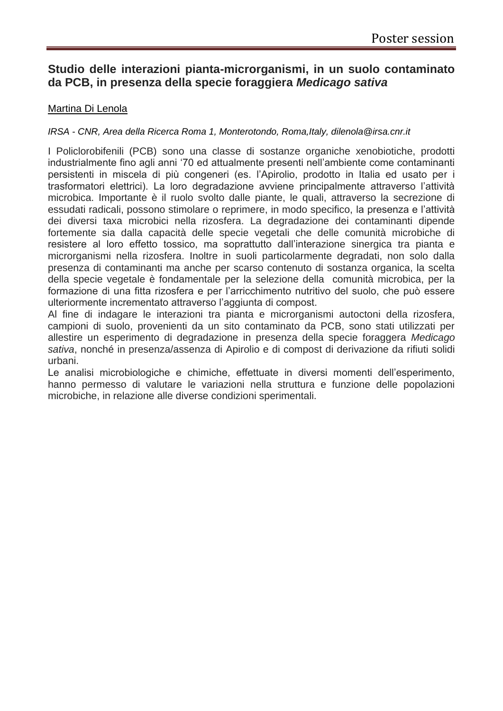# **Studio delle interazioni pianta-microrganismi, in un suolo contaminato da PCB, in presenza della specie foraggiera** *Medicago sativa*

#### Martina Di Lenola

#### *IRSA - CNR, Area della Ricerca Roma 1, Monterotondo, Roma,Italy, dilenola@irsa.cnr.it*

I Policlorobifenili (PCB) sono una classe di sostanze organiche xenobiotiche, prodotti industrialmente fino agli anni '70 ed attualmente presenti nell'ambiente come contaminanti persistenti in miscela di più congeneri (es. l'Apirolio, prodotto in Italia ed usato per i trasformatori elettrici). La loro degradazione avviene principalmente attraverso l'attività microbica. Importante è il ruolo svolto dalle piante, le quali, attraverso la secrezione di essudati radicali, possono stimolare o reprimere, in modo specifico, la presenza e l'attività dei diversi taxa microbici nella rizosfera. La degradazione dei contaminanti dipende fortemente sia dalla capacità delle specie vegetali che delle comunità microbiche di resistere al loro effetto tossico, ma soprattutto dall'interazione sinergica tra pianta e microrganismi nella rizosfera. Inoltre in suoli particolarmente degradati, non solo dalla presenza di contaminanti ma anche per scarso contenuto di sostanza organica, la scelta della specie vegetale è fondamentale per la selezione della comunità microbica, per la formazione di una fitta rizosfera e per l'arricchimento nutritivo del suolo, che può essere ulteriormente incrementato attraverso l'aggiunta di compost.

Al fine di indagare le interazioni tra pianta e microrganismi autoctoni della rizosfera, campioni di suolo, provenienti da un sito contaminato da PCB, sono stati utilizzati per allestire un esperimento di degradazione in presenza della specie foraggera *Medicago sativa*, nonché in presenza/assenza di Apirolio e di compost di derivazione da rifiuti solidi urbani.

Le analisi microbiologiche e chimiche, effettuate in diversi momenti dell'esperimento, hanno permesso di valutare le variazioni nella struttura e funzione delle popolazioni microbiche, in relazione alle diverse condizioni sperimentali.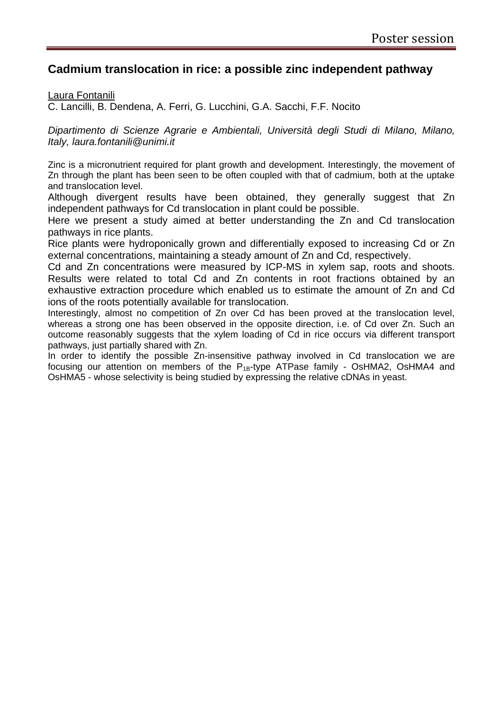# **Cadmium translocation in rice: a possible zinc independent pathway**

Laura Fontanili

C. Lancilli, B. Dendena, A. Ferri, G. Lucchini, G.A. Sacchi, F.F. Nocito

*Dipartimento di Scienze Agrarie e Ambientali, Università degli Studi di Milano, Milano, Italy, laura.fontanili@unimi.it*

Zinc is a micronutrient required for plant growth and development. Interestingly, the movement of Zn through the plant has been seen to be often coupled with that of cadmium, both at the uptake and translocation level.

Although divergent results have been obtained, they generally suggest that Zn independent pathways for Cd translocation in plant could be possible.

Here we present a study aimed at better understanding the Zn and Cd translocation pathways in rice plants.

Rice plants were hydroponically grown and differentially exposed to increasing Cd or Zn external concentrations, maintaining a steady amount of Zn and Cd, respectively.

Cd and Zn concentrations were measured by ICP-MS in xylem sap, roots and shoots. Results were related to total Cd and Zn contents in root fractions obtained by an exhaustive extraction procedure which enabled us to estimate the amount of Zn and Cd ions of the roots potentially available for translocation.

Interestingly, almost no competition of Zn over Cd has been proved at the translocation level, whereas a strong one has been observed in the opposite direction, i.e. of Cd over Zn. Such an outcome reasonably suggests that the xylem loading of Cd in rice occurs via different transport pathways, just partially shared with Zn.

In order to identify the possible Zn-insensitive pathway involved in Cd translocation we are focusing our attention on members of the  $P_{1B}$ -type ATPase family - OsHMA2, OsHMA4 and OsHMA5 - whose selectivity is being studied by expressing the relative cDNAs in yeast.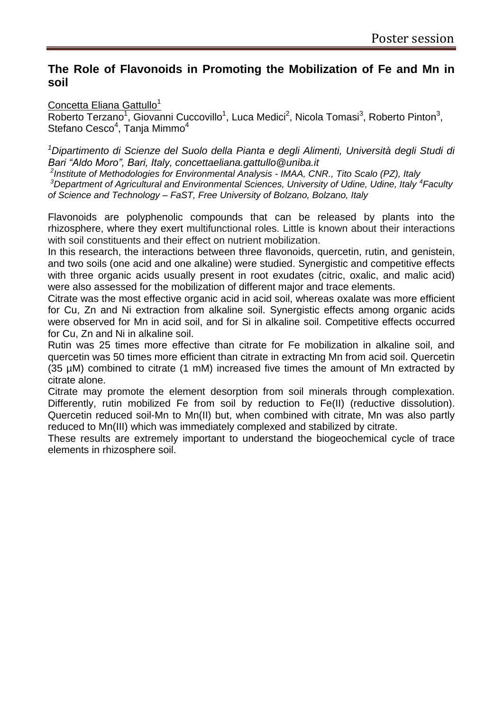# **The Role of Flavonoids in Promoting the Mobilization of Fe and Mn in soil**

#### Concetta Eliana Gattullo<sup>1</sup>

Roberto Terzano<sup>1</sup>, Giovanni Cuccovillo<sup>1</sup>, Luca Medici<sup>2</sup>, Nicola Tomasi<sup>3</sup>, Roberto Pinton<sup>3</sup>, Stefano Cesco<sup>4</sup>, Tanja Mimmo<sup>4</sup>

*<sup>1</sup>Dipartimento di Scienze del Suolo della Pianta e degli Alimenti, Università degli Studi di Bari "Aldo Moro", Bari, Italy, concettaeliana.gattullo@uniba.it*

*2 Institute of Methodologies for Environmental Analysis - IMAA, CNR., Tito Scalo (PZ), Italy*

<sup>3</sup>*Department of Agricultural and Environmental Sciences, University of Udine, Udine, Italy <sup>4</sup> Faculty of Science and Technology – FaST, Free University of Bolzano, Bolzano, Italy*

Flavonoids are polyphenolic compounds that can be released by plants into the rhizosphere, where they exert multifunctional roles. Little is known about their interactions with soil constituents and their effect on nutrient mobilization.

In this research, the interactions between three flavonoids, quercetin, rutin, and genistein, and two soils (one acid and one alkaline) were studied. Synergistic and competitive effects with three organic acids usually present in root exudates (citric, oxalic, and malic acid) were also assessed for the mobilization of different major and trace elements.

Citrate was the most effective organic acid in acid soil, whereas oxalate was more efficient for Cu, Zn and Ni extraction from alkaline soil. Synergistic effects among organic acids were observed for Mn in acid soil, and for Si in alkaline soil. Competitive effects occurred for Cu, Zn and Ni in alkaline soil.

Rutin was 25 times more effective than citrate for Fe mobilization in alkaline soil, and quercetin was 50 times more efficient than citrate in extracting Mn from acid soil. Quercetin (35 µM) combined to citrate (1 mM) increased five times the amount of Mn extracted by citrate alone.

Citrate may promote the element desorption from soil minerals through complexation. Differently, rutin mobilized Fe from soil by reduction to Fe(II) (reductive dissolution). Quercetin reduced soil-Mn to Mn(II) but, when combined with citrate, Mn was also partly reduced to Mn(III) which was immediately complexed and stabilized by citrate.

These results are extremely important to understand the biogeochemical cycle of trace elements in rhizosphere soil.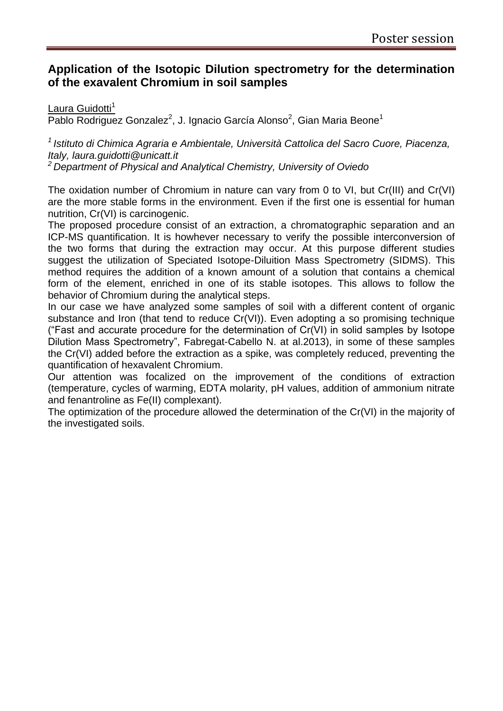# **Application of the Isotopic Dilution spectrometry for the determination of the exavalent Chromium in soil samples**

#### Laura Guidotti<sup>1</sup>

Pablo Rodriguez Gonzalez<sup>2</sup>, J. Ignacio García Alonso<sup>2</sup>, Gian Maria Beone<sup>1</sup>

*<sup>1</sup>Istituto di Chimica Agraria e Ambientale, Università Cattolica del Sacro Cuore, Piacenza, Italy, laura.guidotti@unicatt.it*

*<sup>2</sup>Department of Physical and Analytical Chemistry, University of Oviedo*

The oxidation number of Chromium in nature can vary from 0 to VI, but Cr(III) and Cr(VI) are the more stable forms in the environment. Even if the first one is essential for human nutrition, Cr(VI) is carcinogenic.

The proposed procedure consist of an extraction, a chromatographic separation and an ICP-MS quantification. It is howhever necessary to verify the possible interconversion of the two forms that during the extraction may occur. At this purpose different studies suggest the utilization of Speciated Isotope-Diluition Mass Spectrometry (SIDMS). This method requires the addition of a known amount of a solution that contains a chemical form of the element, enriched in one of its stable isotopes. This allows to follow the behavior of Chromium during the analytical steps.

In our case we have analyzed some samples of soil with a different content of organic substance and Iron (that tend to reduce Cr(VI)). Even adopting a so promising technique ("Fast and accurate procedure for the determination of Cr(VI) in solid samples by Isotope Dilution Mass Spectrometry", [Fabregat-Cabello N.](http://www.ncbi.nlm.nih.gov/pubmed?term=Fabregat-Cabello%20N%5BAuthor%5D&cauthor=true&cauthor_uid=23092182) at al.2013), in some of these samples the Cr(VI) added before the extraction as a spike, was completely reduced, preventing the quantification of hexavalent Chromium.

Our attention was focalized on the improvement of the conditions of extraction (temperature, cycles of warming, EDTA molarity, pH values, addition of ammonium nitrate and fenantroline as Fe(II) complexant).

The optimization of the procedure allowed the determination of the Cr(VI) in the majority of the investigated soils.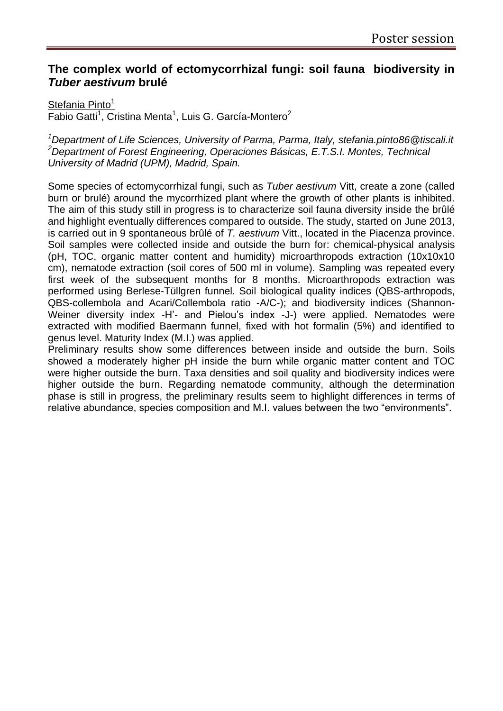# **The complex world of ectomycorrhizal fungi: soil fauna biodiversity in**  *Tuber aestivum* **brulé**

#### Stefania Pinto $1$

Fabio Gatti<sup>1</sup>, Cristina Menta<sup>1</sup>, Luis G. García-Montero<sup>2</sup>

*<sup>1</sup>Department of Life Sciences, University of Parma, Parma, Italy, stefania.pinto86@tiscali.it <sup>2</sup>Department of Forest Engineering, Operaciones Básicas, E.T.S.I. Montes, Technical University of Madrid (UPM), Madrid, Spain.*

Some species of ectomycorrhizal fungi, such as *Tuber aestivum* Vitt, create a zone (called burn or brulé) around the mycorrhized plant where the growth of other plants is inhibited. The aim of this study still in progress is to characterize soil fauna diversity inside the brûlé and highlight eventually differences compared to outside. The study, started on June 2013, is carried out in 9 spontaneous brûlé of *T. aestivum* Vitt., located in the Piacenza province. Soil samples were collected inside and outside the burn for: chemical-physical analysis (pH, TOC, organic matter content and humidity) microarthropods extraction (10x10x10 cm), nematode extraction (soil cores of 500 ml in volume). Sampling was repeated every first week of the subsequent months for 8 months. Microarthropods extraction was performed using Berlese-Tüllgren funnel. Soil biological quality indices (QBS-arthropods, QBS-collembola and Acari/Collembola ratio -A/C-); and biodiversity indices (Shannon-Weiner diversity index -H'- and Pielou's index -J-) were applied. Nematodes were extracted with modified Baermann funnel, fixed with hot formalin (5%) and identified to genus level. Maturity Index (M.I.) was applied.

Preliminary results show some differences between inside and outside the burn. Soils showed a moderately higher pH inside the burn while organic matter content and TOC were higher outside the burn. Taxa densities and soil quality and biodiversity indices were higher outside the burn. Regarding nematode community, although the determination phase is still in progress, the preliminary results seem to highlight differences in terms of relative abundance, species composition and M.I. values between the two "environments".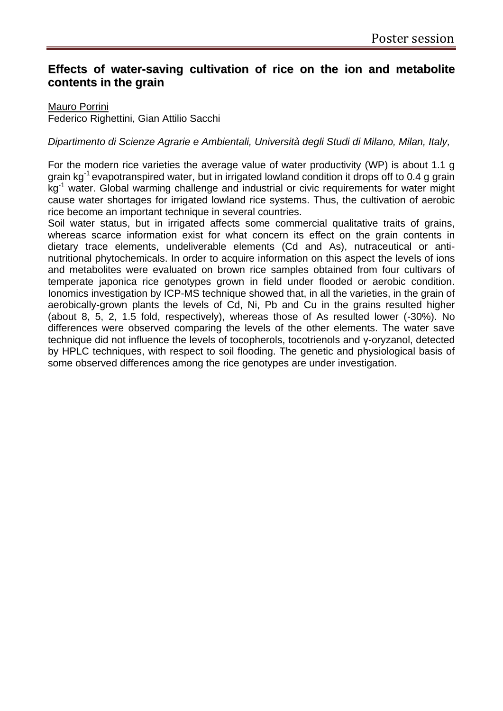# **Effects of water-saving cultivation of rice on the ion and metabolite contents in the grain**

#### Mauro Porrini

Federico Righettini, Gian Attilio Sacchi

#### *Dipartimento di Scienze Agrarie e Ambientali, Università degli Studi di Milano, Milan, Italy,*

For the modern rice varieties the average value of water productivity (WP) is about 1.1 g grain kg<sup>-1</sup> evapotranspired water, but in irrigated lowland condition it drops off to 0.4 g grain kg<sup>-1</sup> water. Global warming challenge and industrial or civic requirements for water might cause water shortages for irrigated lowland rice systems. Thus, the cultivation of aerobic rice become an important technique in several countries.

Soil water status, but in irrigated affects some commercial qualitative traits of grains, whereas scarce information exist for what concern its effect on the grain contents in dietary trace elements, undeliverable elements (Cd and As), nutraceutical or antinutritional phytochemicals. In order to acquire information on this aspect the levels of ions and metabolites were evaluated on brown rice samples obtained from four cultivars of temperate japonica rice genotypes grown in field under flooded or aerobic condition. Ionomics investigation by ICP-MS technique showed that, in all the varieties, in the grain of aerobically-grown plants the levels of Cd, Ni, Pb and Cu in the grains resulted higher (about 8, 5, 2, 1.5 fold, respectively), whereas those of As resulted lower (-30%). No differences were observed comparing the levels of the other elements. The water save technique did not influence the levels of tocopherols, tocotrienols and γ-oryzanol, detected by HPLC techniques, with respect to soil flooding. The genetic and physiological basis of some observed differences among the rice genotypes are under investigation.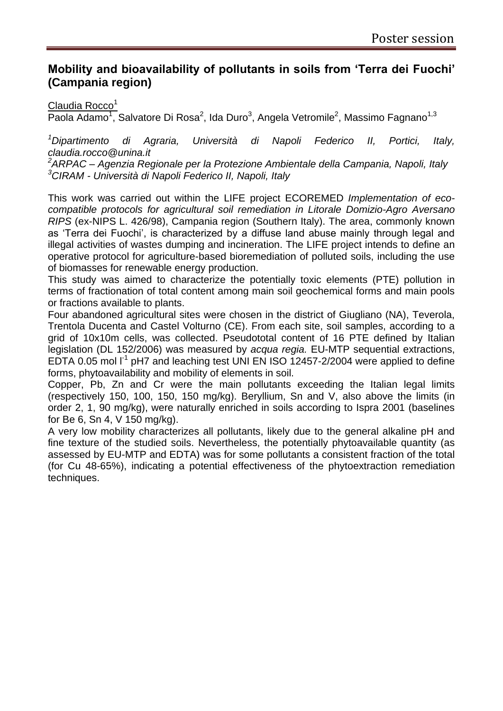# **Mobility and bioavailability of pollutants in soils from 'Terra dei Fuochi' (Campania region)**

#### Claudia Rocco<sup>1</sup>

Paola Adamo<sup>1</sup>, Salvatore Di Rosa<sup>2</sup>, Ida Duro<sup>3</sup>, Angela Vetromile<sup>2</sup>, Massimo Fagnano<sup>1,3</sup>

*<sup>1</sup>Dipartimento di Agraria, Università di Napoli Federico II, Portici, Italy, claudia.rocco@unina.it*

*<sup>2</sup>ARPAC – Agenzia Regionale per la Protezione Ambientale della Campania, Napoli, Italy <sup>3</sup>CIRAM - Università di Napoli Federico II, Napoli, Italy*

This work was carried out within the LIFE project ECOREMED *Implementation of ecocompatible protocols for agricultural soil remediation in Litorale Domizio-Agro Aversano RIPS* (ex-NIPS L. 426/98), Campania region (Southern Italy). The area, commonly known as 'Terra dei Fuochi', is characterized by a diffuse land abuse mainly through legal and illegal activities of wastes dumping and incineration. The LIFE project intends to define an operative protocol for agriculture-based bioremediation of polluted soils, including the use of biomasses for renewable energy production.

This study was aimed to characterize the potentially toxic elements (PTE) pollution in terms of fractionation of total content among main soil geochemical forms and main pools or fractions available to plants.

Four abandoned agricultural sites were chosen in the district of Giugliano (NA), Teverola, Trentola Ducenta and Castel Volturno (CE). From each site, soil samples, according to a grid of 10x10m cells, was collected. Pseudototal content of 16 PTE defined by Italian legislation (DL 152/2006) was measured by *acqua regia.* EU-MTP sequential extractions, EDTA 0.05 mol  $I^1$  pH7 and leaching test UNI EN ISO 12457-2/2004 were applied to define forms, phytoavailability and mobility of elements in soil.

Copper, Pb, Zn and Cr were the main pollutants exceeding the Italian legal limits (respectively 150, 100, 150, 150 mg/kg). Beryllium, Sn and V, also above the limits (in order 2, 1, 90 mg/kg), were naturally enriched in soils according to Ispra 2001 (baselines for Be 6, Sn 4, V 150 mg/kg).

A very low mobility characterizes all pollutants, likely due to the general alkaline pH and fine texture of the studied soils. Nevertheless, the potentially phytoavailable quantity (as assessed by EU-MTP and EDTA) was for some pollutants a consistent fraction of the total (for Cu 48-65%), indicating a potential effectiveness of the phytoextraction remediation techniques.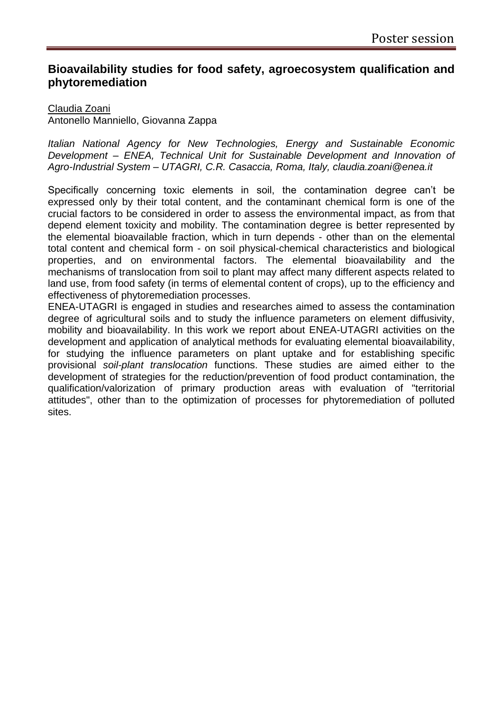# **Bioavailability studies for food safety, agroecosystem qualification and phytoremediation**

Claudia Zoani Antonello Manniello, Giovanna Zappa

*Italian National Agency for New Technologies, Energy and Sustainable Economic Development – ENEA, Technical Unit for Sustainable Development and Innovation of Agro-Industrial System – UTAGRI, C.R. Casaccia, Roma, Italy, claudia.zoani@enea.it*

Specifically concerning toxic elements in soil, the contamination degree can't be expressed only by their total content, and the contaminant chemical form is one of the crucial factors to be considered in order to assess the environmental impact, as from that depend element toxicity and mobility. The contamination degree is better represented by the elemental bioavailable fraction, which in turn depends - other than on the elemental total content and chemical form - on soil physical-chemical characteristics and biological properties, and on environmental factors. The elemental bioavailability and the mechanisms of translocation from soil to plant may affect many different aspects related to land use, from food safety (in terms of elemental content of crops), up to the efficiency and effectiveness of phytoremediation processes.

ENEA-UTAGRI is engaged in studies and researches aimed to assess the contamination degree of agricultural soils and to study the influence parameters on element diffusivity, mobility and bioavailability. In this work we report about ENEA-UTAGRI activities on the development and application of analytical methods for evaluating elemental bioavailability, for studying the influence parameters on plant uptake and for establishing specific provisional *soil-plant translocation* functions. These studies are aimed either to the development of strategies for the reduction/prevention of food product contamination, the qualification/valorization of primary production areas with evaluation of "territorial attitudes", other than to the optimization of processes for phytoremediation of polluted sites.